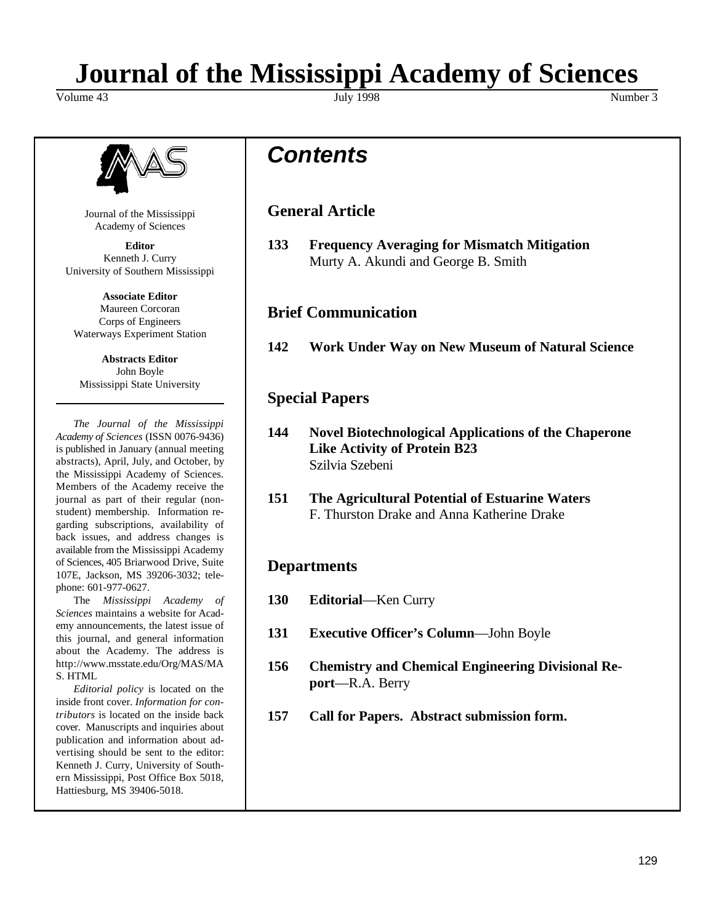# **Journal of the Mississippi Academy of Sciences**

Volume 43 Number 3 Number 3 Number 3 Number 3 Number 3 Number 3 Number 3 Number 3 Number 3 Number 3 Number 3 Number 3 Number 3 Number 3 Number 3 Number 3 Number 3 Number 3 Number 3 Number 3 Number 3 Number 3 Number 3 Numbe



Journal of the Mississippi Academy of Sciences

Kenneth J. Curry University of Southern Mississippi

**Associate Editor** Maureen Corcoran Corps of Engineers Waterways Experiment Station

**Abstracts Editor** John Boyle Mississippi State University

*The Journal of the Mississippi Academy of Sciences* (ISSN 0076-9436) is published in January (annual meeting abstracts), April, July, and October, by the Mississippi Academy of Sciences. Members of the Academy receive the journal as part of their regular (nonstudent) membership. Information regarding subscriptions, availability of back issues, and address changes is available from the Mississippi Academy of Sciences, 405 Briarwood Drive, Suite 107E, Jackson, MS 39206-3032; telephone: 601-977-0627.

The *Mississippi Academy of Sciences* maintains a website for Academy announcements, the latest issue of this journal, and general information about the Academy. The address is http://www.msstate.edu/Org/MAS/MA S. HTML

*Editorial policy* is located on the inside front cover. *Information for contributors* is located on the inside back cover. Manuscripts and inquiries about publication and information about advertising should be sent to the editor: Kenneth J. Curry, University of Southern Mississippi, Post Office Box 5018, Hattiesburg, MS 39406-5018.

## *Contents*

### **General Article**

**Editor 133 Frequency Averaging for Mismatch Mitigation** Murty A. Akundi and George B. Smith

#### **Brief Communication**

**142 Work Under Way on New Museum of Natural Science**

### **Special Papers**

- **144 Novel Biotechnological Applications of the Chaperone Like Activity of Protein B23** Szilvia Szebeni
- **151 The Agricultural Potential of Estuarine Waters** F. Thurston Drake and Anna Katherine Drake

#### **Departments**

- **130 Editorial**—Ken Curry
- **131 Executive Officer's Column**—John Boyle
- **156 Chemistry and Chemical Engineering Divisional Report**—R.A. Berry
- **157 Call for Papers. Abstract submission form.**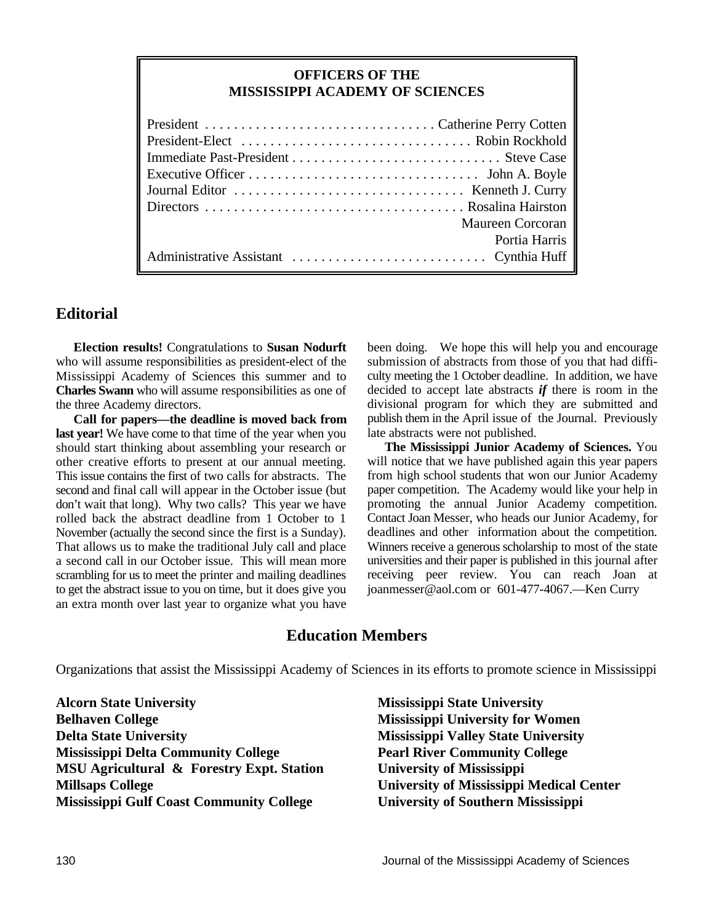#### **OFFICERS OF THE MISSISSIPPI ACADEMY OF SCIENCES**

| Maureen Corcoran |
|------------------|
| Portia Harris    |
|                  |

#### **Editorial**

**Election results!** Congratulations to **Susan Nodurft** who will assume responsibilities as president-elect of the Mississippi Academy of Sciences this summer and to **Charles Swann** who will assume responsibilities as one of the three Academy directors.

**Call for papers—the deadline is moved back from last year!** We have come to that time of the year when you should start thinking about assembling your research or other creative efforts to present at our annual meeting. This issue contains the first of two calls for abstracts. The second and final call will appear in the October issue (but don't wait that long). Why two calls? This year we have rolled back the abstract deadline from 1 October to 1 November (actually the second since the first is a Sunday). That allows us to make the traditional July call and place a second call in our October issue. This will mean more scrambling for us to meet the printer and mailing deadlines to get the abstract issue to you on time, but it does give you an extra month over last year to organize what you have

been doing. We hope this will help you and encourage submission of abstracts from those of you that had difficulty meeting the 1 October deadline. In addition, we have decided to accept late abstracts *if* there is room in the divisional program for which they are submitted and publish them in the April issue of the Journal. Previously late abstracts were not published.

**The Mississippi Junior Academy of Sciences.** You will notice that we have published again this year papers from high school students that won our Junior Academy paper competition. The Academy would like your help in promoting the annual Junior Academy competition. Contact Joan Messer, who heads our Junior Academy, for deadlines and other information about the competition. Winners receive a generous scholarship to most of the state universities and their paper is published in this journal after receiving peer review. You can reach Joan at joanmesser@aol.com or 601-477-4067.—Ken Curry

#### **Education Members**

Organizations that assist the Mississippi Academy of Sciences in its efforts to promote science in Mississippi

**Alcorn State University Mississippi State University Belhaven College Mississippi University for Women Delta State University Mississippi Valley State University Mississippi Delta Community College Pearl River Community College MSU Agricultural & Forestry Expt. Station University of Mississippi Millsaps College University of Mississippi Medical Center Mississippi Gulf Coast Community College University of Southern Mississippi**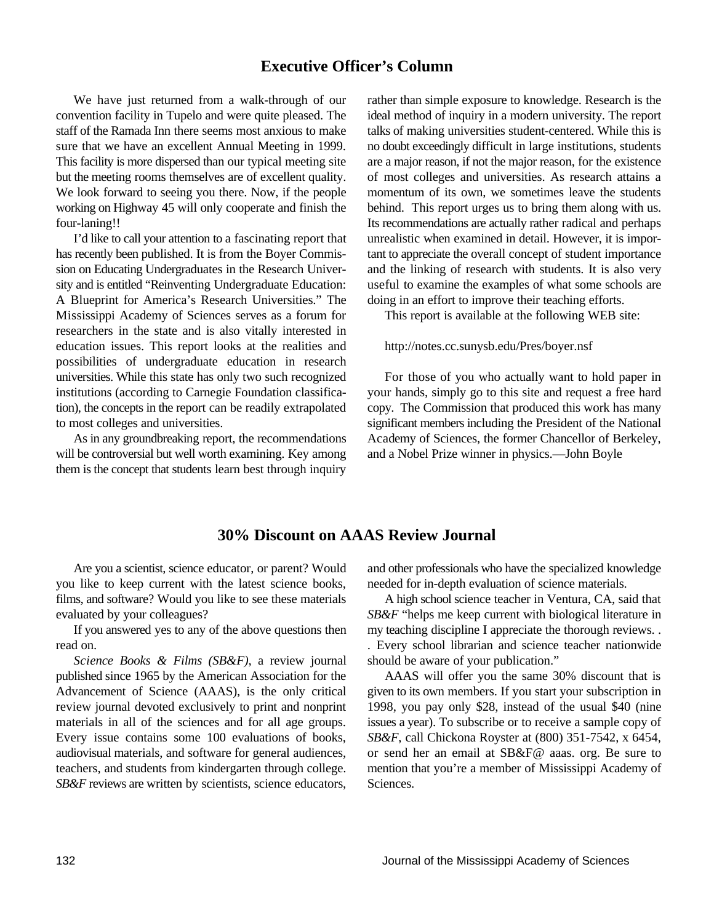#### **Executive Officer's Column**

A Blueprint for America's Research Universities." The doing in an effort to improve their teaching efforts. Mississippi Academy of Sciences serves as a forum for This report is available at the following WEB site: researchers in the state and is also vitally interested in education issues. This report looks at the realities and http://notes.cc.sunysb.edu/Pres/boyer.nsf possibilities of undergraduate education in research universities. While this state has only two such recognized For those of you who actually want to hold paper in

will be controversial but well worth examining. Key among and a Nobel Prize winner in physics.—John Boyle them is the concept that students learn best through inquiry

We have just returned from a walk-through of our rather than simple exposure to knowledge. Research is the convention facility in Tupelo and were quite pleased. The ideal method of inquiry in a modern university. The report staff of the Ramada Inn there seems most anxious to make talks of making universities student-centered. While this is sure that we have an excellent Annual Meeting in 1999. no doubt exceedingly difficult in large institutions, students This facility is more dispersed than our typical meeting site are a major reason, if not the major reason, for the existence but the meeting rooms themselves are of excellent quality. of most colleges and universities. As research attains a We look forward to seeing you there. Now, if the people momentum of its own, we sometimes leave the students working on Highway 45 will only cooperate and finish the behind. This report urges us to bring them along with us. four-laning!! Its recommendations are actually rather radical and perhaps I'd like to call your attention to a fascinating report that unrealistic when examined in detail. However, it is imporhas recently been published. It is from the Boyer Commis- tant to appreciate the overall concept of student importance sion on Educating Undergraduates in the Research Univer- and the linking of research with students. It is also very sity and is entitled "Reinventing Undergraduate Education: useful to examine the examples of what some schools are

institutions (according to Carnegie Foundation classifica- your hands, simply go to this site and request a free hard tion), the concepts in the report can be readily extrapolated copy. The Commission that produced this work has many to most colleges and universities. significant members including the President of the National As in any groundbreaking report, the recommendations Academy of Sciences, the former Chancellor of Berkeley,

#### **30% Discount on AAAS Review Journal**

you like to keep current with the latest science books, needed for in-depth evaluation of science materials. films, and software? Would you like to see these materials A high school science teacher in Ventura, CA, said that

*Science Books & Films (SB&F)*, a review journal should be aware of your publication." *SB&F* reviews are written by scientists, science educators, Sciences.

Are you a scientist, science educator, or parent? Would and other professionals who have the specialized knowledge

evaluated by your colleagues? *SB&F* "helps me keep current with biological literature in If you answered yes to any of the above questions then my teaching discipline I appreciate the thorough reviews. read on. . Every school librarian and science teacher nationwide

published since 1965 by the American Association for the AAAS will offer you the same 30% discount that is Advancement of Science (AAAS), is the only critical given to its own members. If you start your subscription in review journal devoted exclusively to print and nonprint 1998, you pay only \$28, instead of the usual \$40 (nine materials in all of the sciences and for all age groups. issues a year). To subscribe or to receive a sample copy of Every issue contains some 100 evaluations of books, *SB&F*, call Chickona Royster at (800) 351-7542, x 6454, audiovisual materials, and software for general audiences, or send her an email at SB&F@ aaas. org. Be sure to teachers, and students from kindergarten through college. mention that you're a member of Mississippi Academy of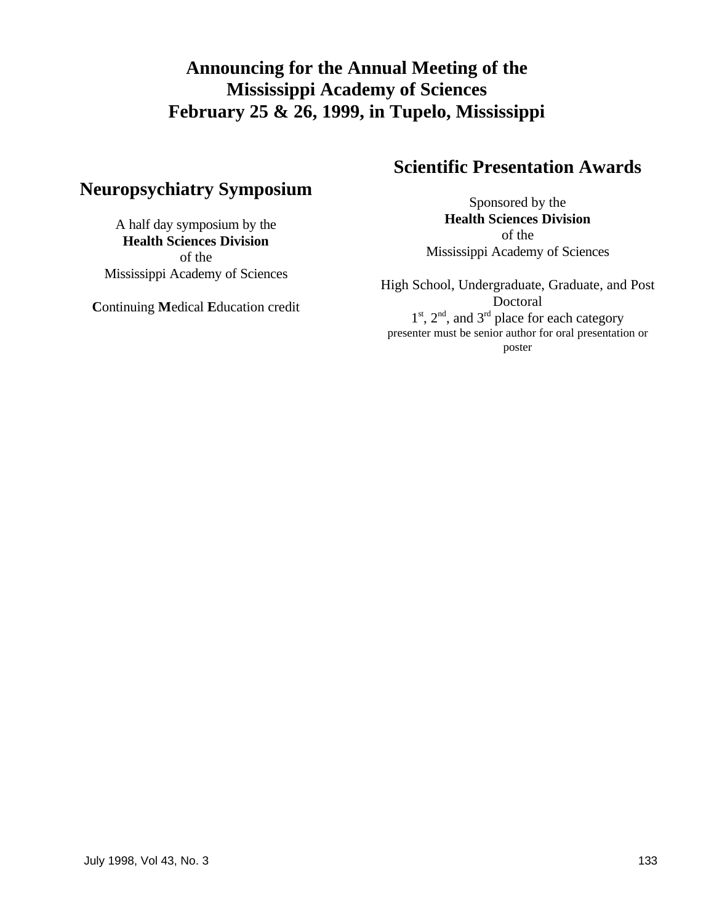## **Announcing for the Annual Meeting of the Mississippi Academy of Sciences February 25 & 26, 1999, in Tupelo, Mississippi**

## **Neuropsychiatry Symposium**

A half day symposium by the **Health Sciences Division** of the Mississippi Academy of Sciences

**C**ontinuing **M**edical **E**ducation credit

# **Scientific Presentation Awards**

Sponsored by the **Health Sciences Division** of the Mississippi Academy of Sciences

High School, Undergraduate, Graduate, and Post Doctoral  $1<sup>st</sup>$ ,  $2<sup>nd</sup>$ , and  $3<sup>rd</sup>$  place for each category presenter must be senior author for oral presentation or poster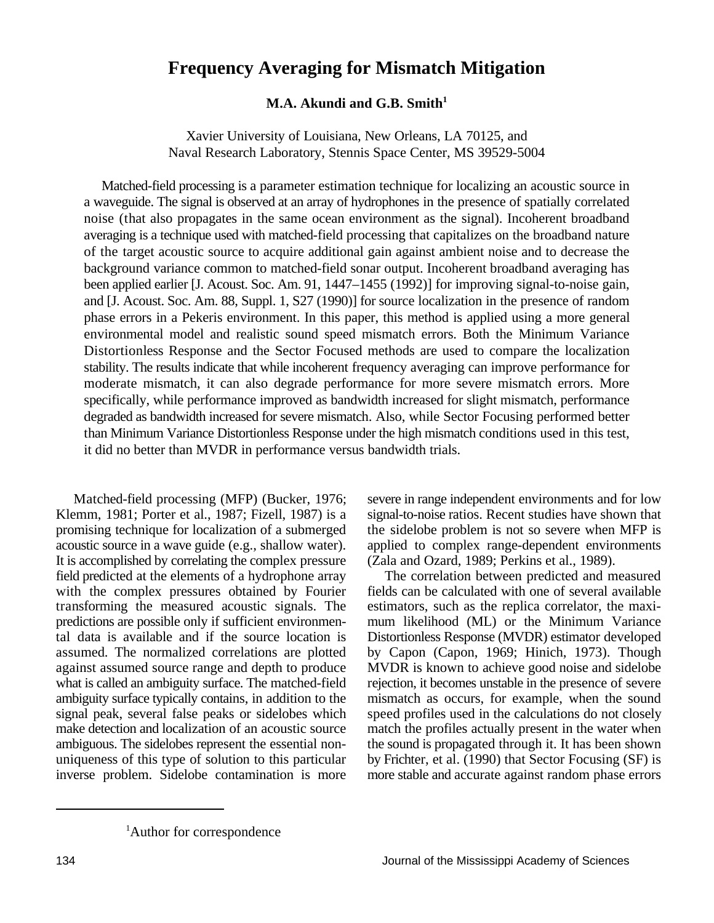## **Frequency Averaging for Mismatch Mitigation**

#### **M.A. Akundi and G.B. Smith<sup>1</sup>**

Xavier University of Louisiana, New Orleans, LA 70125, and Naval Research Laboratory, Stennis Space Center, MS 39529-5004

Matched-field processing is a parameter estimation technique for localizing an acoustic source in a waveguide. The signal is observed at an array of hydrophones in the presence of spatially correlated noise (that also propagates in the same ocean environment as the signal). Incoherent broadband averaging is a technique used with matched-field processing that capitalizes on the broadband nature of the target acoustic source to acquire additional gain against ambient noise and to decrease the background variance common to matched-field sonar output. Incoherent broadband averaging has been applied earlier [J. Acoust. Soc. Am. 91, 1447–1455 (1992)] for improving signal-to-noise gain, and [J. Acoust. Soc. Am. 88, Suppl. 1, S27 (1990)] for source localization in the presence of random phase errors in a Pekeris environment. In this paper, this method is applied using a more general environmental model and realistic sound speed mismatch errors. Both the Minimum Variance Distortionless Response and the Sector Focused methods are used to compare the localization stability. The results indicate that while incoherent frequency averaging can improve performance for moderate mismatch, it can also degrade performance for more severe mismatch errors. More specifically, while performance improved as bandwidth increased for slight mismatch, performance degraded as bandwidth increased for severe mismatch. Also, while Sector Focusing performed better than Minimum Variance Distortionless Response under the high mismatch conditions used in this test, it did no better than MVDR in performance versus bandwidth trials.

It is accomplished by correlating the complex pressure (Zala and Ozard, 1989; Perkins et al., 1989). with the complex pressures obtained by Fourier

Matched-field processing (MFP) (Bucker, 1976; severe in range independent environments and for low Klemm, 1981; Porter et al., 1987; Fizell, 1987) is a signal-to-noise ratios. Recent studies have shown that promising technique for localization of a submerged the sidelobe problem is not so severe when MFP is acoustic source in a wave guide (e.g., shallow water). applied to complex range-dependent environments

field predicted at the elements of a hydrophone array The correlation between predicted and measured with the complex pressures obtained by Fourier fields can be calculated with one of several available transforming the measured acoustic signals. The estimators, such as the replica correlator, the maxipredictions are possible only if sufficient environmen- mum likelihood (ML) or the Minimum Variance tal data is available and if the source location is Distortionless Response (MVDR) estimator developed assumed. The normalized correlations are plotted by Capon (Capon, 1969; Hinich, 1973). Though against assumed source range and depth to produce MVDR is known to achieve good noise and sidelobe what is called an ambiguity surface. The matched-field rejection, it becomes unstable in the presence of severe ambiguity surface typically contains, in addition to the mismatch as occurs, for example, when the sound signal peak, several false peaks or sidelobes which speed profiles used in the calculations do not closely make detection and localization of an acoustic source match the profiles actually present in the water when ambiguous. The sidelobes represent the essential non- the sound is propagated through it. It has been shown uniqueness of this type of solution to this particular by Frichter, et al. (1990) that Sector Focusing (SF) is inverse problem. Sidelobe contamination is more more stable and accurate against random phase errors

<sup>&</sup>lt;sup>1</sup>Author for correspondence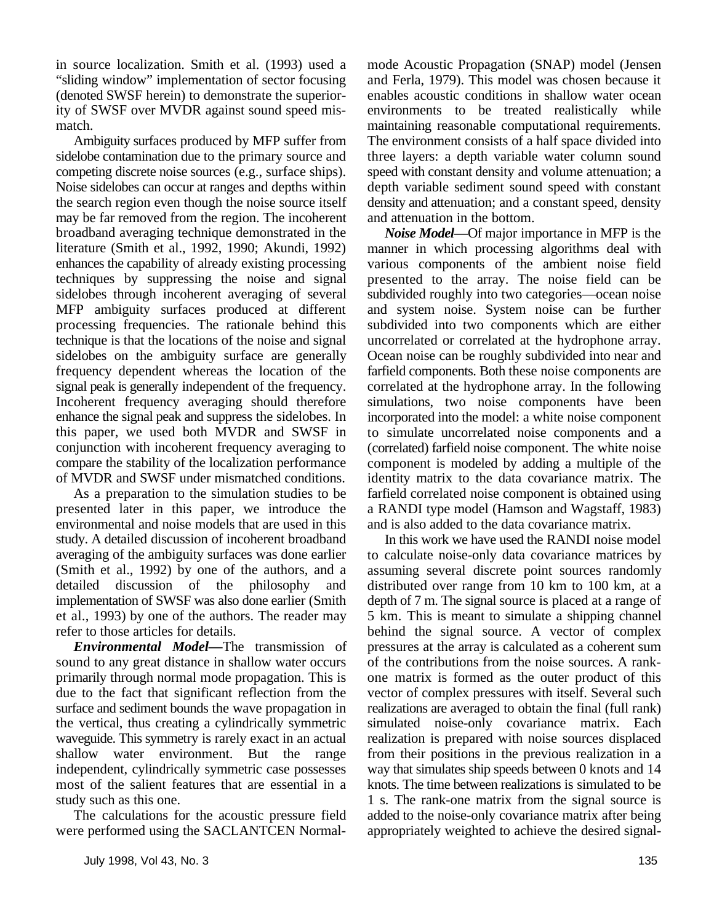in source localization. Smith et al. (1993) used a mode Acoustic Propagation (SNAP) model (Jensen

the search region even though the noise source itself density and attenuation; and a constant speed, density may be far removed from the region. The incoherent and attenuation in the bottom. broadband averaging technique demonstrated in the literature (Smith et al., 1992, 1990; Akundi, 1992) enhances the capability of already existing processing techniques by suppressing the noise and signal sidelobes through incoherent averaging of several MFP ambiguity surfaces produced at different processing frequencies. The rationale behind this technique is that the locations of the noise and signal sidelobes on the ambiguity surface are generally frequency dependent whereas the location of the signal peak is generally independent of the frequency. Incoherent frequency averaging should therefore enhance the signal peak and suppress the sidelobes. In this paper, we used both MVDR and SWSF in conjunction with incoherent frequency averaging to compare the stability of the localization performance of MVDR and SWSF under mismatched conditions.

As a preparation to the simulation studies to be presented later in this paper, we introduce the environmental and noise models that are used in this study. A detailed discussion of incoherent broadband averaging of the ambiguity surfaces was done earlier (Smith et al., 1992) by one of the authors, and a detailed discussion of the philosophy and implementation of SWSF was also done earlier (Smith et al., 1993) by one of the authors. The reader may refer to those articles for details.

sound to any great distance in shallow water occurs of the contributions from the noise sources. A rankprimarily through normal mode propagation. This is one matrix is formed as the outer product of this due to the fact that significant reflection from the vector of complex pressures with itself. Several such surface and sediment bounds the wave propagation in realizations are averaged to obtain the final (full rank) the vertical, thus creating a cylindrically symmetric simulated noise-only covariance matrix. Each waveguide. This symmetry is rarely exact in an actual realization is prepared with noise sources displaced shallow water environment. But the range from their positions in the previous realization in a independent, cylindrically symmetric case possesses way that simulates ship speeds between 0 knots and 14 most of the salient features that are essential in a knots. The time between realizations is simulated to be study such as this one. 1 s. The rank-one matrix from the signal source is

"sliding window" implementation of sector focusing and Ferla, 1979). This model was chosen because it (denoted SWSF herein) to demonstrate the superior- enables acoustic conditions in shallow water ocean ity of SWSF over MVDR against sound speed mis- environments to be treated realistically while match. The maintaining reasonable computational requirements. Ambiguity surfaces produced by MFP suffer from The environment consists of a half space divided into sidelobe contamination due to the primary source and three layers: a depth variable water column sound competing discrete noise sources (e.g., surface ships). speed with constant density and volume attenuation; a Noise sidelobes can occur at ranges and depths within depth variable sediment sound speed with constant

*Noise Model—*Of major importance in MFP is the manner in which processing algorithms deal with various components of the ambient noise field presented to the array. The noise field can be subdivided roughly into two categories—ocean noise and system noise. System noise can be further subdivided into two components which are either uncorrelated or correlated at the hydrophone array. Ocean noise can be roughly subdivided into near and farfield components. Both these noise components are correlated at the hydrophone array. In the following simulations, two noise components have been incorporated into the model: a white noise component to simulate uncorrelated noise components and a (correlated) farfield noise component. The white noise component is modeled by adding a multiple of the identity matrix to the data covariance matrix. The farfield correlated noise component is obtained using a RANDI type model (Hamson and Wagstaff, 1983) and is also added to the data covariance matrix.

*Environmental Model—The transmission of pressures at the array is calculated as a coherent sum* way that simulates ship speeds between 0 knots and 14 The calculations for the acoustic pressure field added to the noise-only covariance matrix after being were performed using the SACLANTCEN Normal-<br>appropriately weighted to achieve the desired signal-In this work we have used the RANDI noise model to calculate noise-only data covariance matrices by assuming several discrete point sources randomly distributed over range from 10 km to 100 km, at a depth of 7 m. The signal source is placed at a range of 5 km. This is meant to simulate a shipping channel behind the signal source. A vector of complex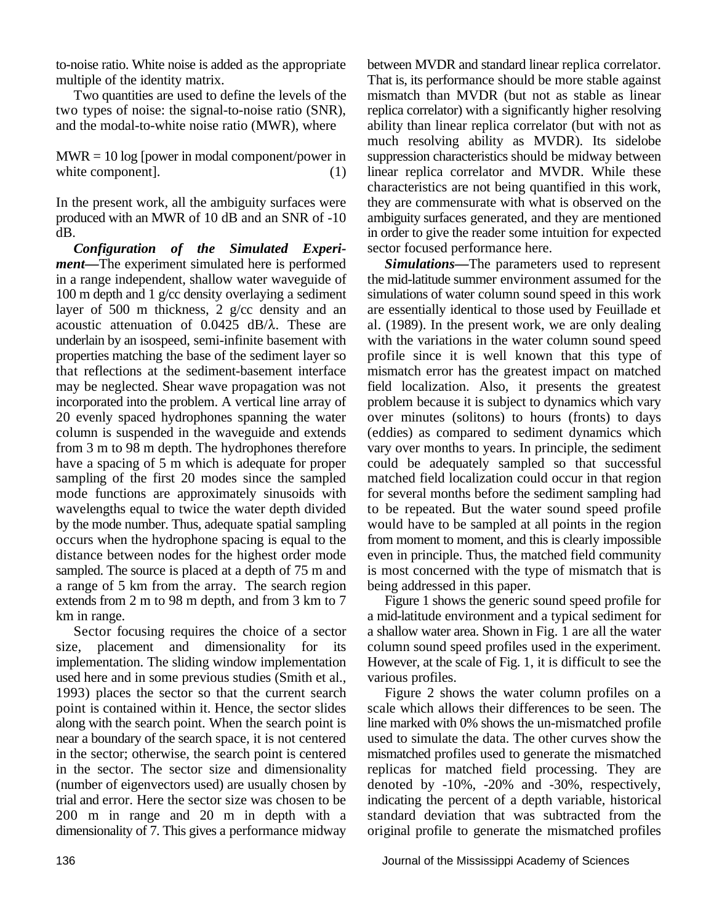*Configuration of the Simulated Experiment—*The experiment simulated here is performed *Simulations—*The parameters used to represent in a range independent, shallow water waveguide of the mid-latitude summer environment assumed for the layer of 500 m thickness, 2 g/cc density and an are essentially identical to those used by Feuillade et acoustic attenuation of  $0.0425$  dB/ $\lambda$ . These are al. (1989). In the present work, we are only dealing underlain by an isospeed, semi-infinite basement with with the variations in the water column sound speed that reflections at the sediment-basement interface mismatch error has the greatest impact on matched may be neglected. Shear wave propagation was not field localization. Also, it presents the greatest incorporated into the problem. A vertical line array of problem because it is subject to dynamics which vary column is suspended in the waveguide and extends (eddies) as compared to sediment dynamics which from 3 m to 98 m depth. The hydrophones therefore vary over months to years. In principle, the sediment have a spacing of 5 m which is adequate for proper could be adequately sampled so that successful sampling of the first 20 modes since the sampled matched field localization could occur in that region mode functions are approximately sinusoids with for several months before the sediment sampling had wavelengths equal to twice the water depth divided to be repeated. But the water sound speed profile by the mode number. Thus, adequate spatial sampling would have to be sampled at all points in the region occurs when the hydrophone spacing is equal to the from moment to moment, and this is clearly impossible distance between nodes for the highest order mode even in principle. Thus, the matched field community sampled. The source is placed at a depth of 75 m and is most concerned with the type of mismatch that is a range of 5 km from the array. The search region being addressed in this paper. extends from 2 m to 98 m depth, and from 3 km to 7 Figure 1 shows the generic sound speed profile for km in range. a mid-latitude environment and a typical sediment for

size, placement and dimensionality for its column sound speed profiles used in the experiment. implementation. The sliding window implementation However, at the scale of Fig. 1, it is difficult to see the used here and in some previous studies (Smith et al., various profiles. 1993) places the sector so that the current search Figure 2 shows the water column profiles on a point is contained within it. Hence, the sector slides scale which allows their differences to be seen. The along with the search point. When the search point is line marked with 0% shows the un-mismatched profile near a boundary of the search space, it is not centered used to simulate the data. The other curves show the near a boundary of the search space, it is not centered in the sector; otherwise, the search point is centered mismatched profiles used to generate the mismatched in the sector. The sector size and dimensionality replicas for matched field processing. They are (number of eigenvectors used) are usually chosen by denoted by -10%, -20% and -30%, respectively, trial and error. Here the sector size was chosen to be indicating the percent of a depth variable, historical 200 m in range and 20 m in depth with a standard deviation that was subtracted from the dimensionality of 7. This gives a performance midway original profile to generate the mismatched profiles

to-noise ratio. White noise is added as the appropriate between MVDR and standard linear replica correlator. multiple of the identity matrix. That is, its performance should be more stable against Two quantities are used to define the levels of the mismatch than MVDR (but not as stable as linear two types of noise: the signal-to-noise ratio (SNR), replica correlator) with a significantly higher resolving and the modal-to-white noise ratio (MWR), where ability than linear replica correlator (but with not as  $MWR = 10 log$  [power in modal component/power in suppression characteristics should be midway between white component]. (1) linear replica correlator and MVDR. While these In the present work, all the ambiguity surfaces were they are commensurate with what is observed on the produced with an MWR of 10 dB and an SNR of -10 ambiguity surfaces generated, and they are mentioned dB. in order to give the reader some intuition for expected much resolving ability as MVDR). Its sidelobe characteristics are not being quantified in this work, sector focused performance here.

100 m depth and 1 g/cc density overlaying a sediment simulations of water column sound speed in this work properties matching the base of the sediment layer so profile since it is well known that this type of 20 evenly spaced hydrophones spanning the water over minutes (solitons) to hours (fronts) to days

Sector focusing requires the choice of a sector a shallow water area. Shown in Fig. 1 are all the water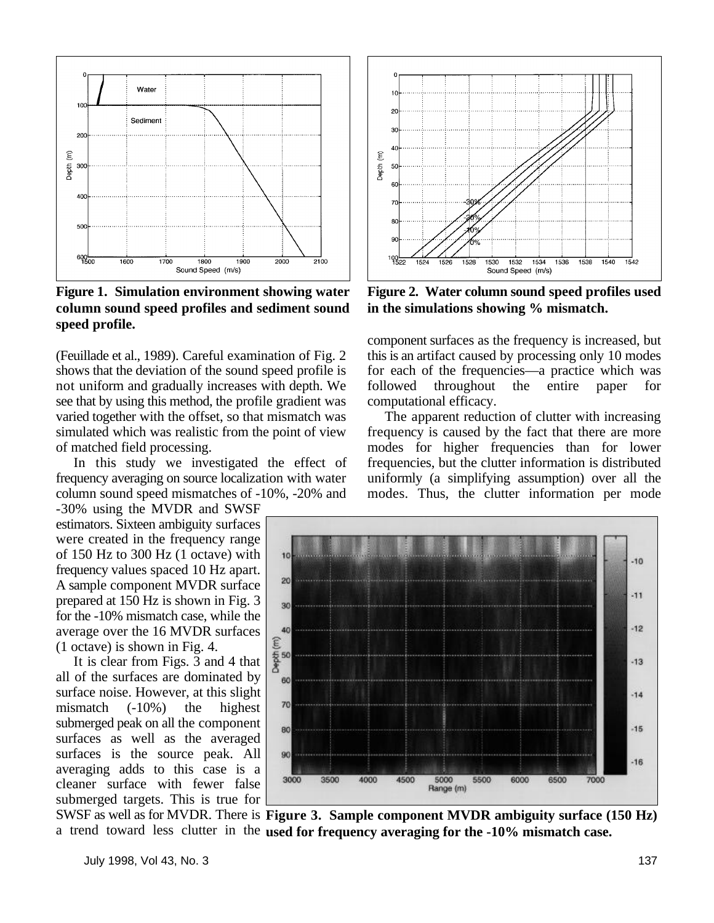

**Figure 1. Simulation environment showing water column sound speed profiles and sediment sound speed profile.**

see that by using this method, the profile gradient was computational efficacy.<br>varied together with the offset, so that mismatch was The apparent reduction of clutter with increasing varied together with the offset, so that mismatch was

-30% using the MVDR and SWSF estimators. Sixteen ambiguity surfaces were created in the frequency range of 150 Hz to 300 Hz (1 octave) with frequency values spaced 10 Hz apart. A sample component MVDR surface prepared at 150 Hz is shown in Fig. 3 for the -10% mismatch case, while the average over the 16 MVDR surfaces (1 octave) is shown in Fig. 4.

It is clear from Figs. 3 and 4 that all of the surfaces are dominated by surface noise. However, at this slight mismatch (-10%) the highest submerged peak on all the component surfaces as well as the averaged surfaces is the source peak. All averaging adds to this case is a cleaner surface with fewer false submerged targets. This is true for



**Figure 2. Water column sound speed profiles used in the simulations showing % mismatch.**

(Feuillade et al., 1989). Careful examination of Fig. 2 this is an artifact caused by processing only 10 modes shows that the deviation of the sound speed profile is for each of the frequencies—a practice which was not uniform and gradually increases with depth. We followed throughout the entire paper for component surfaces as the frequency is increased, but

simulated which was realistic from the point of view frequency is caused by the fact that there are more of matched field processing. modes for higher frequencies than for lower In this study we investigated the effect of frequencies, but the clutter information is distributed frequency averaging on source localization with water uniformly (a simplifying assumption) over all the column sound speed mismatches of -10%, -20% and modes. Thus, the clutter information per mode



SWSF as well as for MVDR. There is **Figure 3. Sample component MVDR ambiguity surface (150 Hz)** a trend toward less clutter in the used for frequency averaging for the -10% mismatch case.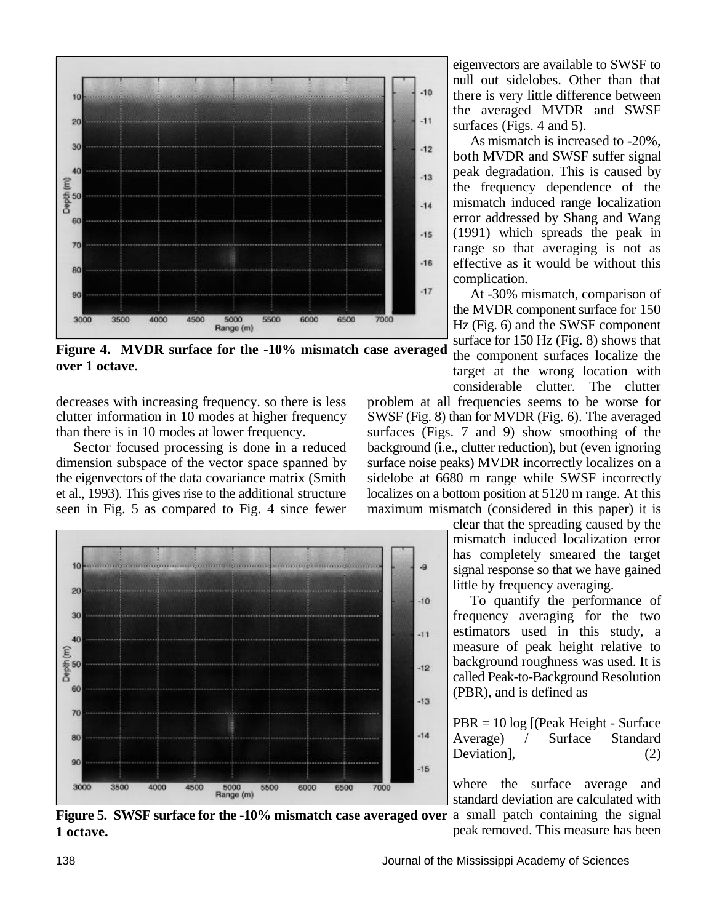

**Figure 4. MVDR surface for the -10% mismatch case averaged over 1 octave.**

seen in Fig. 5 as compared to Fig. 4 since fewer



eigenvectors are available to SWSF to null out sidelobes. Other than that there is very little difference between the averaged MVDR and SWSF surfaces (Figs. 4 and 5).

As mismatch is increased to -20%, both MVDR and SWSF suffer signal peak degradation. This is caused by the frequency dependence of the mismatch induced range localization error addressed by Shang and Wang (1991) which spreads the peak in range so that averaging is not as effective as it would be without this complication.

At -30% mismatch, comparison of the MVDR component surface for 150 Hz (Fig. 6) and the SWSF component surface for 150 Hz (Fig. 8) shows that the component surfaces localize the target at the wrong location with considerable clutter. The clutter

decreases with increasing frequency. so there is less problem at all frequencies seems to be worse for clutter information in 10 modes at higher frequency SWSF (Fig. 8) than for MVDR (Fig. 6). The averaged SWSF (Fig. 8) than for MVDR (Fig. 6). The averaged than there is in 10 modes at lower frequency. surfaces (Figs. 7 and 9) show smoothing of the Sector focused processing is done in a reduced background (i.e., clutter reduction), but (even ignoring dimension subspace of the vector space spanned by surface noise peaks) MVDR incorrectly localizes on a the eigenvectors of the data covariance matrix (Smith sidelobe at 6680 m range while SWSF incorrectly the eigenvectors of the data covariance matrix (Smith sidelobe at 6680 m range while SWSF incorrectly et al., 1993). This gives rise to the additional structure localizes on a bottom position at 5120 m range. At this localizes on a bottom position at 5120 m range. At this maximum mismatch (considered in this paper) it is

> clear that the spreading caused by the mismatch induced localization error has completely smeared the target signal response so that we have gained little by frequency averaging.

> To quantify the performance of frequency averaging for the two estimators used in this study, a measure of peak height relative to background roughness was used. It is called Peak-to-Background Resolution (PBR), and is defined as

> PBR = 10 log [(Peak Height - Surface<br>Average) / Surface Standard Average) / Surface Standard Deviation], (2)

> where the surface average and standard deviation are calculated with

**Figure 5. SWSF surface for the -10% mismatch case averaged over** a small patch containing the signal **1 octave.** peak removed. This measure has been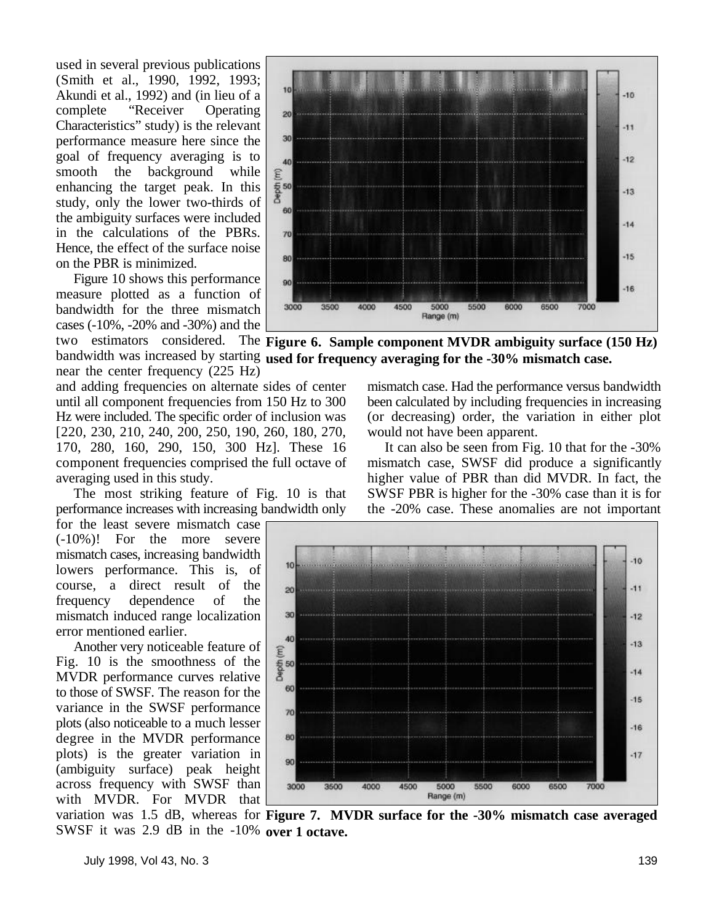used in several previous publications (Smith et al., 1990, 1992, 1993; Akundi et al., 1992) and (in lieu of a complete "Receiver Operating Characteristics" study) is the relevant performance measure here since the goal of frequency averaging is to smooth the background while enhancing the target peak. In this study, only the lower two-thirds of the ambiguity surfaces were included in the calculations of the PBRs. Hence, the effect of the surface noise on the PBR is minimized.

Figure 10 shows this performance measure plotted as a function of bandwidth for the three mismatch cases (-10%, -20% and -30%) and the

near the center frequency (225 Hz) and adding frequencies on alternate sides of center mismatch case. Had the performance versus bandwidth [220, 230, 210, 240, 200, 250, 190, 260, 180, 270, would not have been apparent. 170, 280, 160, 290, 150, 300 Hz]. These 16 It can also be seen from Fig. 10 that for the -30%

for the least severe mismatch case (-10%)! For the more severe mismatch cases, increasing bandwidth lowers performance. This is, of course, a direct result of the frequency dependence of the mismatch induced range localization error mentioned earlier.

Another very noticeable feature of Fig. 10 is the smoothness of the MVDR performance curves relative to those of SWSF. The reason for the variance in the SWSF performance plots (also noticeable to a much lesser degree in the MVDR performance plots) is the greater variation in (ambiguity surface) peak height across frequency with SWSF than with MVDR. For MVDR that



two estimators considered. The Figure 6. Sample component MVDR ambiguity surface (150 Hz) bandwidth was increased by starting used for frequency averaging for the -30% mismatch case.

until all component frequencies from 150 Hz to 300 been calculated by including frequencies in increasing<br>Hz were included. The specific order of inclusion was (or decreasing) order, the variation in either plot (or decreasing) order, the variation in either plot

component frequencies comprised the full octave of mismatch case, SWSF did produce a significantly averaging used in this study. higher value of PBR than did MVDR. In fact, the The most striking feature of Fig. 10 is that SWSF PBR is higher for the -30% case than it is for performance increases with increasing bandwidth only the -20% case. These anomalies are not important



variation was 1.5 dB, whereas for **Figure 7. MVDR surface for the -30% mismatch case averaged** SWSF it was 2.9 dB in the -10% over 1 octave.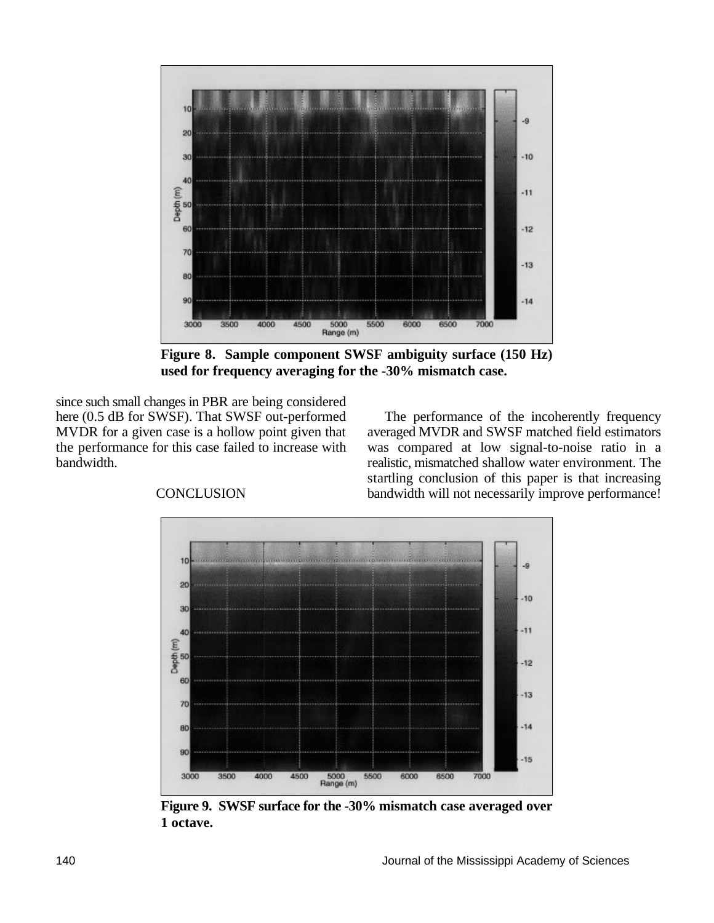

**Figure 8. Sample component SWSF ambiguity surface (150 Hz) used for frequency averaging for the -30% mismatch case.**

since such small changes in PBR are being considered<br>here (0.5 dB for SWSF). That SWSF out-performed

The performance of the incoherently frequency MVDR for a given case is a hollow point given that averaged MVDR and SWSF matched field estimators the performance for this case failed to increase with was compared at low signal-to-noise ratio in a bandwidth. The realistic, mismatched shallow water environment. The CONCLUSION bandwidth will not necessarily improve performance! startling conclusion of this paper is that increasing



**Figure 9. SWSF surface for the -30% mismatch case averaged over 1 octave.**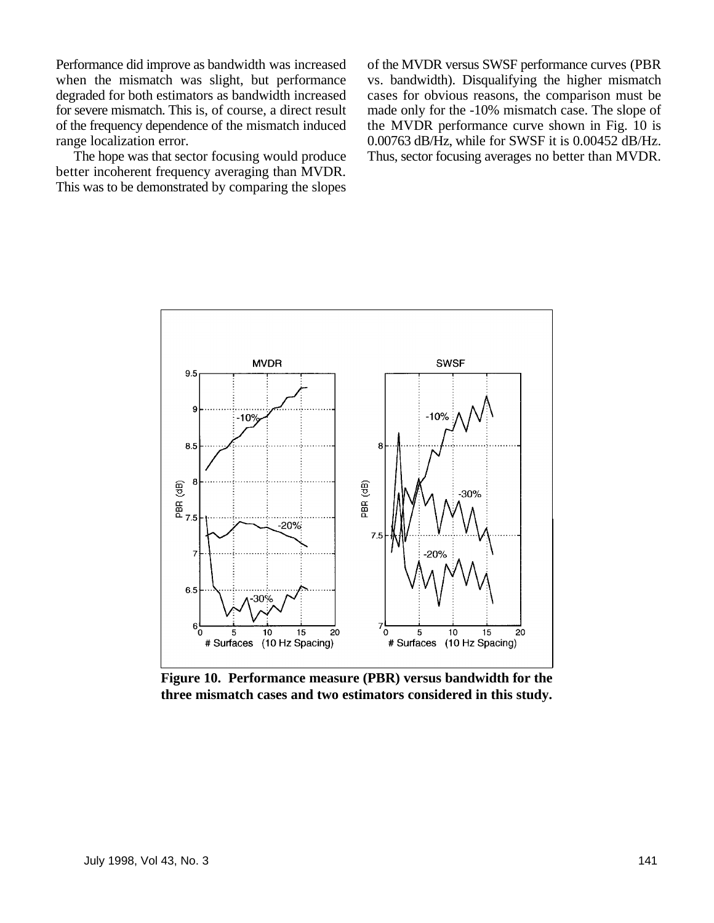Performance did improve as bandwidth was increased of the MVDR versus SWSF performance curves (PBR

better incoherent frequency averaging than MVDR. This was to be demonstrated by comparing the slopes

when the mismatch was slight, but performance vs. bandwidth). Disqualifying the higher mismatch degraded for both estimators as bandwidth increased cases for obvious reasons, the comparison must be for severe mismatch. This is, of course, a direct result made only for the -10% mismatch case. The slope of of the frequency dependence of the mismatch induced the MVDR performance curve shown in Fig. 10 is range localization error. 0.00763 dB/Hz, while for SWSF it is 0.00452 dB/Hz.<br>The hope was that sector focusing would produce Thus, sector focusing averages no better than MVDR. Thus, sector focusing averages no better than MVDR.



**Figure 10. Performance measure (PBR) versus bandwidth for the three mismatch cases and two estimators considered in this study.**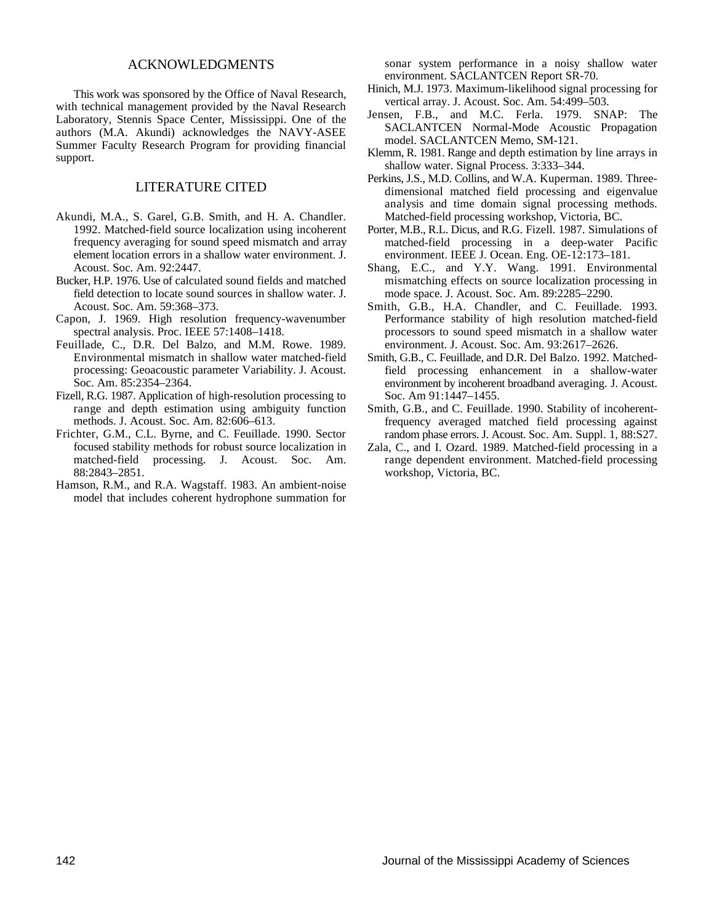#### ACKNOWLEDGMENTS

This work was sponsored by the Office of Naval Research, with technical management provided by the Naval Research Laboratory, Stennis Space Center, Mississippi. One of the authors (M.A. Akundi) acknowledges the NAVY-ASEE Summer Faculty Research Program for providing financial support.

#### LITERATURE CITED

- Akundi, M.A., S. Garel, G.B. Smith, and H. A. Chandler. 1992. Matched-field source localization using incoherent frequency averaging for sound speed mismatch and array element location errors in a shallow water environment. J. Acoust. Soc. Am. 92:2447.
- Bucker, H.P. 1976. Use of calculated sound fields and matched field detection to locate sound sources in shallow water. J. Acoust. Soc. Am. 59:368–373.
- Capon, J. 1969. High resolution frequency-wavenumber spectral analysis. Proc. IEEE 57:1408–1418.
- Feuillade, C., D.R. Del Balzo, and M.M. Rowe. 1989. Environmental mismatch in shallow water matched-field processing: Geoacoustic parameter Variability. J. Acoust. Soc. Am. 85:2354–2364.
- Fizell, R.G. 1987. Application of high-resolution processing to range and depth estimation using ambiguity function methods. J. Acoust. Soc. Am. 82:606–613.
- Frichter, G.M., C.L. Byrne, and C. Feuillade. 1990. Sector focused stability methods for robust source localization in matched-field processing. J. Acoust. Soc. Am. 88:2843–2851.
- Hamson, R.M., and R.A. Wagstaff. 1983. An ambient-noise model that includes coherent hydrophone summation for

sonar system performance in a noisy shallow water environment. SACLANTCEN Report SR-70.

- Hinich, M.J. 1973. Maximum-likelihood signal processing for vertical array. J. Acoust. Soc. Am. 54:499–503.
- Jensen, F.B., and M.C. Ferla. 1979. SNAP: The SACLANTCEN Normal-Mode Acoustic Propagation model. SACLANTCEN Memo, SM-121.
- Klemm, R. 1981. Range and depth estimation by line arrays in shallow water. Signal Process. 3:333–344.
- Perkins, J.S., M.D. Collins, and W.A. Kuperman. 1989. Threedimensional matched field processing and eigenvalue analysis and time domain signal processing methods. Matched-field processing workshop, Victoria, BC.
- Porter, M.B., R.L. Dicus, and R.G. Fizell. 1987. Simulations of matched-field processing in a deep-water Pacific environment. IEEE J. Ocean. Eng. OE-12:173–181.
- Shang, E.C., and Y.Y. Wang. 1991. Environmental mismatching effects on source localization processing in mode space. J. Acoust. Soc. Am. 89:2285–2290.
- Smith, G.B., H.A. Chandler, and C. Feuillade. 1993. Performance stability of high resolution matched-field processors to sound speed mismatch in a shallow water environment. J. Acoust. Soc. Am. 93:2617–2626.
- Smith, G.B., C. Feuillade, and D.R. Del Balzo. 1992. Matchedfield processing enhancement in a shallow-water environment by incoherent broadband averaging. J. Acoust. Soc. Am 91:1447–1455.
- Smith, G.B., and C. Feuillade. 1990. Stability of incoherentfrequency averaged matched field processing against random phase errors. J. Acoust. Soc. Am. Suppl. 1, 88:S27.
- Zala, C., and I. Ozard. 1989. Matched-field processing in a range dependent environment. Matched-field processing workshop, Victoria, BC.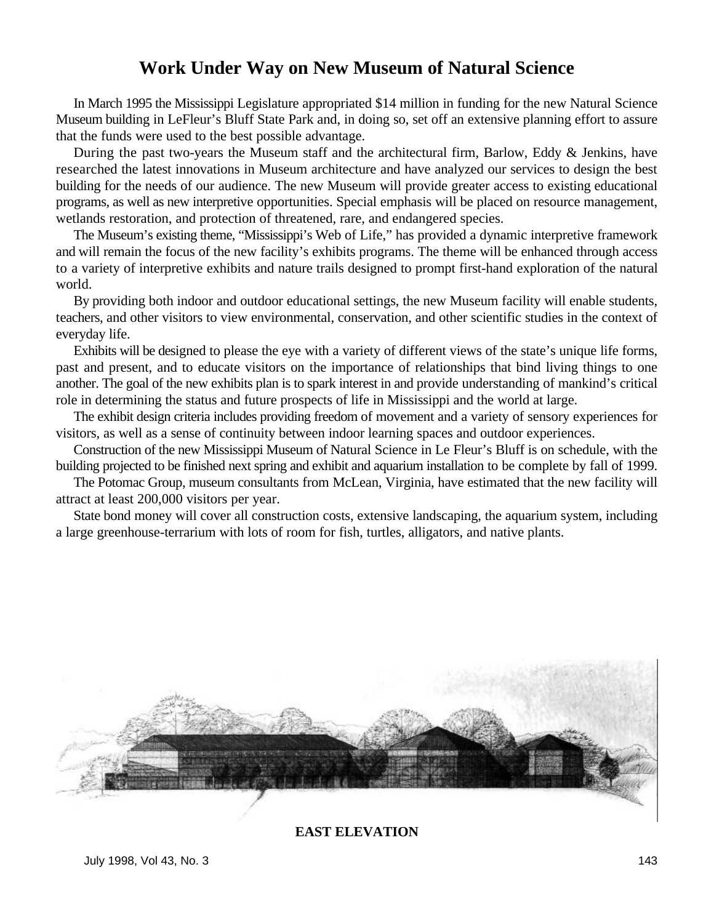### **Work Under Way on New Museum of Natural Science**

In March 1995 the Mississippi Legislature appropriated \$14 million in funding for the new Natural Science Museum building in LeFleur's Bluff State Park and, in doing so, set off an extensive planning effort to assure that the funds were used to the best possible advantage.

During the past two-years the Museum staff and the architectural firm, Barlow, Eddy & Jenkins, have researched the latest innovations in Museum architecture and have analyzed our services to design the best building for the needs of our audience. The new Museum will provide greater access to existing educational programs, as well as new interpretive opportunities. Special emphasis will be placed on resource management, wetlands restoration, and protection of threatened, rare, and endangered species.

The Museum's existing theme, "Mississippi's Web of Life," has provided a dynamic interpretive framework and will remain the focus of the new facility's exhibits programs. The theme will be enhanced through access to a variety of interpretive exhibits and nature trails designed to prompt first-hand exploration of the natural world.

By providing both indoor and outdoor educational settings, the new Museum facility will enable students, teachers, and other visitors to view environmental, conservation, and other scientific studies in the context of everyday life.

Exhibits will be designed to please the eye with a variety of different views of the state's unique life forms, past and present, and to educate visitors on the importance of relationships that bind living things to one another. The goal of the new exhibits plan is to spark interest in and provide understanding of mankind's critical role in determining the status and future prospects of life in Mississippi and the world at large.

The exhibit design criteria includes providing freedom of movement and a variety of sensory experiences for visitors, as well as a sense of continuity between indoor learning spaces and outdoor experiences.

Construction of the new Mississippi Museum of Natural Science in Le Fleur's Bluff is on schedule, with the building projected to be finished next spring and exhibit and aquarium installation to be complete by fall of 1999.

The Potomac Group, museum consultants from McLean, Virginia, have estimated that the new facility will attract at least 200,000 visitors per year.

State bond money will cover all construction costs, extensive landscaping, the aquarium system, including a large greenhouse-terrarium with lots of room for fish, turtles, alligators, and native plants.



#### **EAST ELEVATION**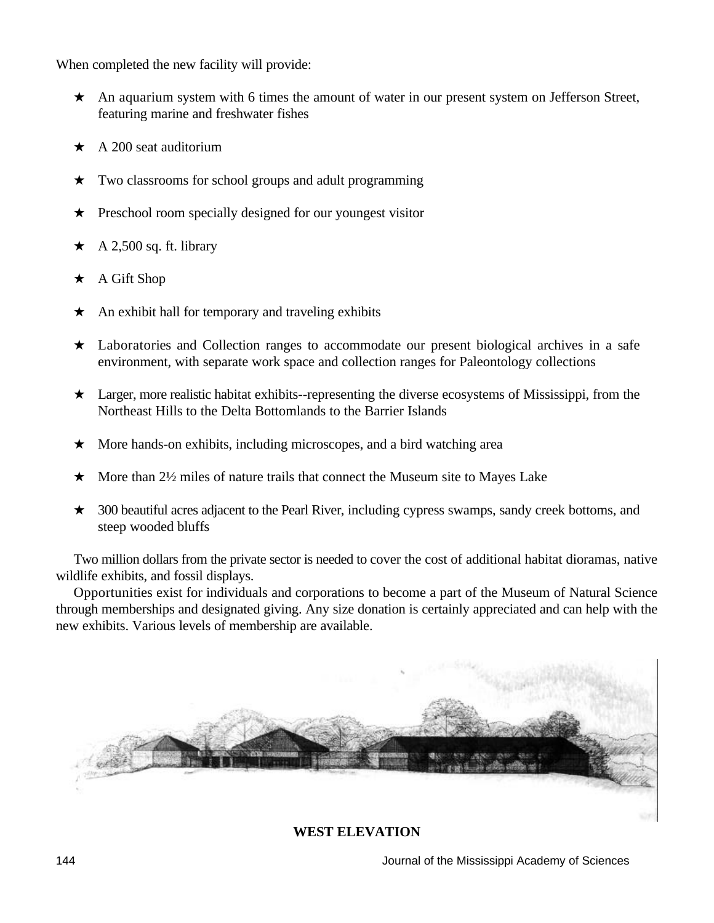When completed the new facility will provide:

- $\star$  An aquarium system with 6 times the amount of water in our present system on Jefferson Street, featuring marine and freshwater fishes
- $\star$  A 200 seat auditorium
- $\star$  Two classrooms for school groups and adult programming
- $\star$  Preschool room specially designed for our youngest visitor
- $\star$  A 2,500 sq. ft. library
- A Gift Shop
- An exhibit hall for temporary and traveling exhibits
- $\star$  Laboratories and Collection ranges to accommodate our present biological archives in a safe environment, with separate work space and collection ranges for Paleontology collections
- $\star$  Larger, more realistic habitat exhibits--representing the diverse ecosystems of Mississippi, from the Northeast Hills to the Delta Bottomlands to the Barrier Islands
- $\star$  More hands-on exhibits, including microscopes, and a bird watching area
- $\star$  More than 2½ miles of nature trails that connect the Museum site to Mayes Lake
- $\star$  300 beautiful acres adjacent to the Pearl River, including cypress swamps, sandy creek bottoms, and steep wooded bluffs

Two million dollars from the private sector is needed to cover the cost of additional habitat dioramas, native wildlife exhibits, and fossil displays.

Opportunities exist for individuals and corporations to become a part of the Museum of Natural Science through memberships and designated giving. Any size donation is certainly appreciated and can help with the new exhibits. Various levels of membership are available.



#### **WEST ELEVATION**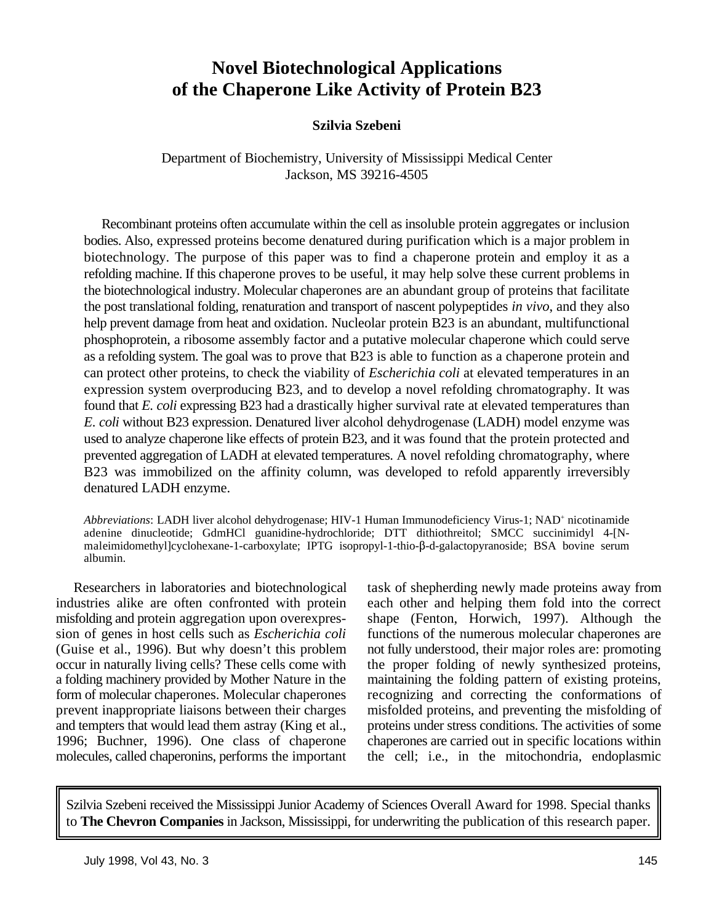## **Novel Biotechnological Applications of the Chaperone Like Activity of Protein B23**

#### **Szilvia Szebeni**

Department of Biochemistry, University of Mississippi Medical Center Jackson, MS 39216-4505

Recombinant proteins often accumulate within the cell as insoluble protein aggregates or inclusion bodies. Also, expressed proteins become denatured during purification which is a major problem in biotechnology. The purpose of this paper was to find a chaperone protein and employ it as a refolding machine. If this chaperone proves to be useful, it may help solve these current problems in the biotechnological industry. Molecular chaperones are an abundant group of proteins that facilitate the post translational folding, renaturation and transport of nascent polypeptides *in vivo*, and they also help prevent damage from heat and oxidation. Nucleolar protein B23 is an abundant, multifunctional phosphoprotein, a ribosome assembly factor and a putative molecular chaperone which could serve as a refolding system. The goal was to prove that B23 is able to function as a chaperone protein and can protect other proteins, to check the viability of *Escherichia coli* at elevated temperatures in an expression system overproducing B23, and to develop a novel refolding chromatography. It was found that *E. coli* expressing B23 had a drastically higher survival rate at elevated temperatures than *E. coli* without B23 expression. Denatured liver alcohol dehydrogenase (LADH) model enzyme was used to analyze chaperone like effects of protein B23, and it was found that the protein protected and prevented aggregation of LADH at elevated temperatures. A novel refolding chromatography, where B23 was immobilized on the affinity column, was developed to refold apparently irreversibly denatured LADH enzyme.

*Abbreviations*: LADH liver alcohol dehydrogenase; HIV-1 Human Immunodeficiency Virus-1; NAD<sup>+</sup> nicotinamide adenine dinucleotide; GdmHCl guanidine-hydrochloride; DTT dithiothreitol; SMCC succinimidyl 4-[Nmaleimidomethyllcyclohexane-1-carboxylate; IPTG isopropyl-1-thio- $\beta$ -d-galactopyranoside; BSA bovine serum albumin.

Researchers in laboratories and biotechnological task of shepherding newly made proteins away from industries alike are often confronted with protein each other and helping them fold into the correct misfolding and protein aggregation upon overexpres- shape (Fenton, Horwich, 1997). Although the sion of genes in host cells such as *Escherichia coli* functions of the numerous molecular chaperones are (Guise et al., 1996). But why doesn't this problem not fully understood, their major roles are: promoting occur in naturally living cells? These cells come with the proper folding of newly synthesized proteins, a folding machinery provided by Mother Nature in the maintaining the folding pattern of existing proteins, form of molecular chaperones. Molecular chaperones recognizing and correcting the conformations of prevent inappropriate liaisons between their charges misfolded proteins, and preventing the misfolding of and tempters that would lead them astray (King et al., proteins under stress conditions. The activities of some 1996; Buchner, 1996). One class of chaperone chaperones are carried out in specific locations within molecules, called chaperonins, performs the important the cell; i.e., in the mitochondria, endoplasmic

Szilvia Szebeni received the Mississippi Junior Academy of Sciences Overall Award for 1998. Special thanks to **The Chevron Companies** in Jackson, Mississippi, for underwriting the publication of this research paper.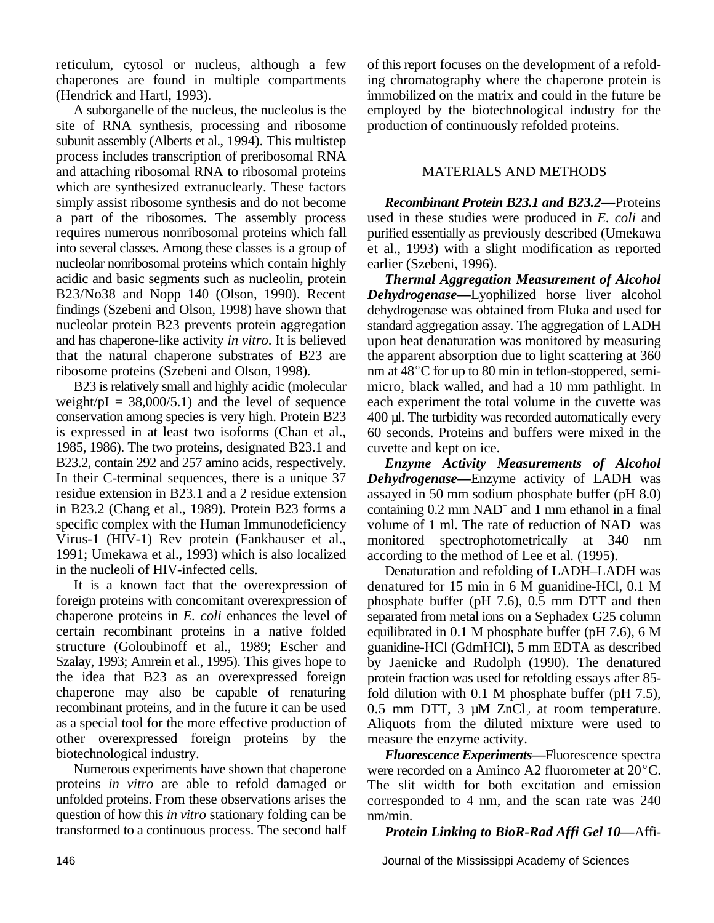reticulum, cytosol or nucleus, although a few of this report focuses on the development of a refoldchaperones are found in multiple compartments ing chromatography where the chaperone protein is

site of RNA synthesis, processing and ribosome production of continuously refolded proteins. subunit assembly (Alberts et al., 1994). This multistep process includes transcription of preribosomal RNA and attaching ribosomal RNA to ribosomal proteins MATERIALS AND METHODS which are synthesized extranuclearly. These factors simply assist ribosome synthesis and do not become a part of the ribosomes. The assembly process requires numerous nonribosomal proteins which fall into several classes. Among these classes is a group of nucleolar nonribosomal proteins which contain highly acidic and basic segments such as nucleolin, protein B23/No38 and Nopp 140 (Olson, 1990). Recent findings (Szebeni and Olson, 1998) have shown that nucleolar protein B23 prevents protein aggregation and has chaperone-like activity *in vitro*. It is believed that the natural chaperone substrates of B23 are ribosome proteins (Szebeni and Olson, 1998).

B23 is relatively small and highly acidic (molecular weight/pI =  $38,000/5.1$ ) and the level of sequence conservation among species is very high. Protein B23 is expressed in at least two isoforms (Chan et al., 1985, 1986). The two proteins, designated B23.1 and B23.2, contain 292 and 257 amino acids, respectively. In their C-terminal sequences, there is a unique 37 residue extension in B23.1 and a 2 residue extension in B23.2 (Chang et al., 1989). Protein B23 forms a specific complex with the Human Immunodeficiency Virus-1 (HIV-1) Rev protein (Fankhauser et al., 1991; Umekawa et al., 1993) which is also localized in the nucleoli of HIV-infected cells.

It is a known fact that the overexpression of foreign proteins with concomitant overexpression of chaperone proteins in *E. coli* enhances the level of certain recombinant proteins in a native folded structure (Goloubinoff et al., 1989; Escher and Szalay, 1993; Amrein et al., 1995). This gives hope to the idea that B23 as an overexpressed foreign chaperone may also be capable of renaturing recombinant proteins, and in the future it can be used as a special tool for the more effective production of other overexpressed foreign proteins by the biotechnological industry.

Numerous experiments have shown that chaperone proteins *in vitro* are able to refold damaged or unfolded proteins. From these observations arises the question of how this *in vitro* stationary folding can be transformed to a continuous process. The second half

(Hendrick and Hartl, 1993). immobilized on the matrix and could in the future be A suborganelle of the nucleus, the nucleolus is the employed by the biotechnological industry for the

*Recombinant Protein B23.1 and B23.2—*Proteins used in these studies were produced in *E. coli* and purified essentially as previously described (Umekawa et al., 1993) with a slight modification as reported earlier (Szebeni, 1996).

*Thermal Aggregation Measurement of Alcohol Dehydrogenase—*Lyophilized horse liver alcohol dehydrogenase was obtained from Fluka and used for standard aggregation assay. The aggregation of LADH upon heat denaturation was monitored by measuring the apparent absorption due to light scattering at 360 nm at  $48^{\circ}$ C for up to 80 min in teflon-stoppered, semimicro, black walled, and had a 10 mm pathlight. In each experiment the total volume in the cuvette was 400 µl. The turbidity was recorded automatically every 60 seconds. Proteins and buffers were mixed in the cuvette and kept on ice.

*Enzyme Activity Measurements of Alcohol Dehydrogenase—*Enzyme activity of LADH was assayed in 50 mm sodium phosphate buffer (pH 8.0) containing  $0.2$  mm NAD<sup>+</sup> and 1 mm ethanol in a final volume of 1 ml. The rate of reduction of  $NAD<sup>+</sup>$  was monitored spectrophotometrically at 340 nm according to the method of Lee et al. (1995).

Denaturation and refolding of LADH–LADH was denatured for 15 min in 6 M guanidine-HCl, 0.1 M phosphate buffer (pH 7.6), 0.5 mm DTT and then separated from metal ions on a Sephadex G25 column equilibrated in 0.1 M phosphate buffer (pH 7.6), 6 M guanidine-HCl (GdmHCl), 5 mm EDTA as described by Jaenicke and Rudolph (1990). The denatured protein fraction was used for refolding essays after 85 fold dilution with 0.1 M phosphate buffer (pH 7.5), 0.5 mm DTT, 3  $\mu$ M ZnCl<sub>2</sub> at room temperature. Aliquots from the diluted mixture were used to measure the enzyme activity.

*Fluorescence Experiments—*Fluorescence spectra were recorded on a Aminco A2 fluorometer at  $20^{\circ}$ C. The slit width for both excitation and emission corresponded to 4 nm, and the scan rate was 240 nm/min.

*Protein Linking to BioR-Rad Affi Gel 10—*Affi-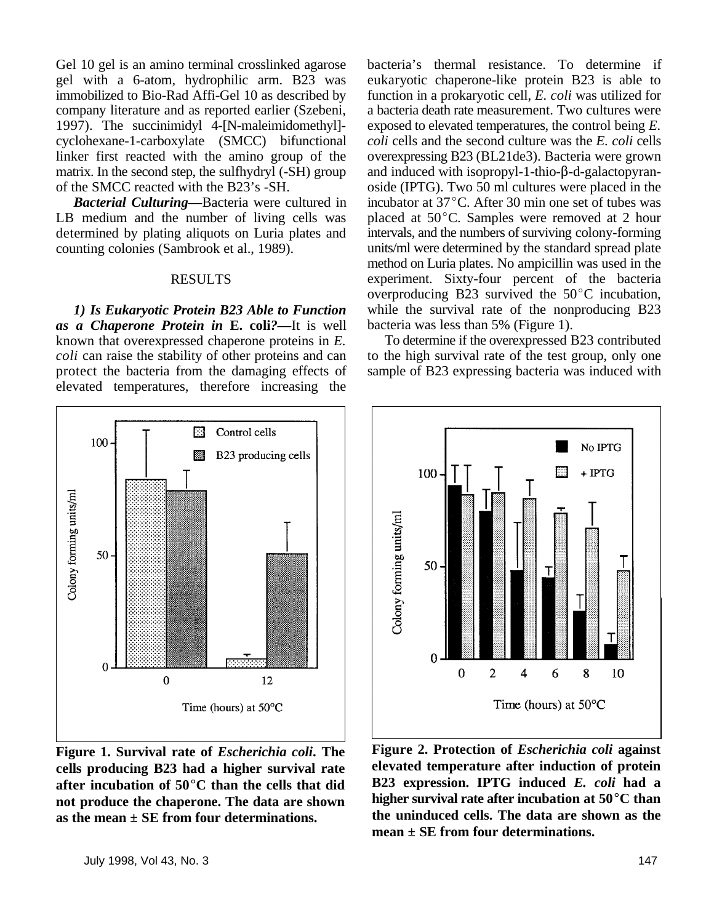Gel 10 gel is an amino terminal crosslinked agarose bacteria's thermal resistance. To determine if gel with a 6-atom, hydrophilic arm. B23 was eukaryotic chaperone-like protein B23 is able to immobilized to Bio-Rad Affi-Gel 10 as described by function in a prokaryotic cell, *E. coli* was utilized for company literature and as reported earlier (Szebeni, a bacteria death rate measurement. Two cultures were 1997). The succinimidyl 4-[N-maleimidomethyl]- exposed to elevated temperatures, the control being *E.* cyclohexane-1-carboxylate (SMCC) bifunctional *coli* cells and the second culture was the *E. coli* cells linker first reacted with the amino group of the overexpressing B23 (BL21de3). Bacteria were grown matrix. In the second step, the sulfhydryl (-SH) group and induced with isopropyl-1-thio- $\beta$ -d-galactopyran-<br>of the SMCC reacted with the B23's -SH.<br>oside (IPTG). Two 50 ml cultures were placed in the

*Bacterial Culturing—*Bacteria were cultured in LB medium and the number of living cells was determined by plating aliquots on Luria plates and counting colonies (Sambrook et al., 1989).

#### RESULTS

*1) Is Eukaryotic Protein B23 Able to Function as a Chaperone Protein in* **E. coli***?—*It is well known that overexpressed chaperone proteins in *E. coli* can raise the stability of other proteins and can protect the bacteria from the damaging effects of elevated temperatures, therefore increasing the



**Figure 1. Survival rate of** *Escherichia coli***. The cells producing B23 had a higher survival rate** after incubation of 50<sup>°</sup>C than the cells that did **not produce the chaperone. The data are shown as the mean ± SE from four determinations.**

oside (IPTG). Two 50 ml cultures were placed in the incubator at 37°C. After 30 min one set of tubes was placed at  $50^{\circ}$ C. Samples were removed at 2 hour intervals, and the numbers of surviving colony-forming units/ml were determined by the standard spread plate method on Luria plates. No ampicillin was used in the experiment. Sixty-four percent of the bacteria overproducing B23 survived the  $50^{\circ}$ C incubation, while the survival rate of the nonproducing B23 bacteria was less than 5% (Figure 1).

To determine if the overexpressed B23 contributed to the high survival rate of the test group, only one sample of B23 expressing bacteria was induced with



**Figure 2. Protection of** *Escherichia coli* **against elevated temperature after induction of protein B23 expression. IPTG induced** *E. coli* **had a higher survival rate after incubation at 50 °C than the uninduced cells. The data are shown as the mean ± SE from four determinations.**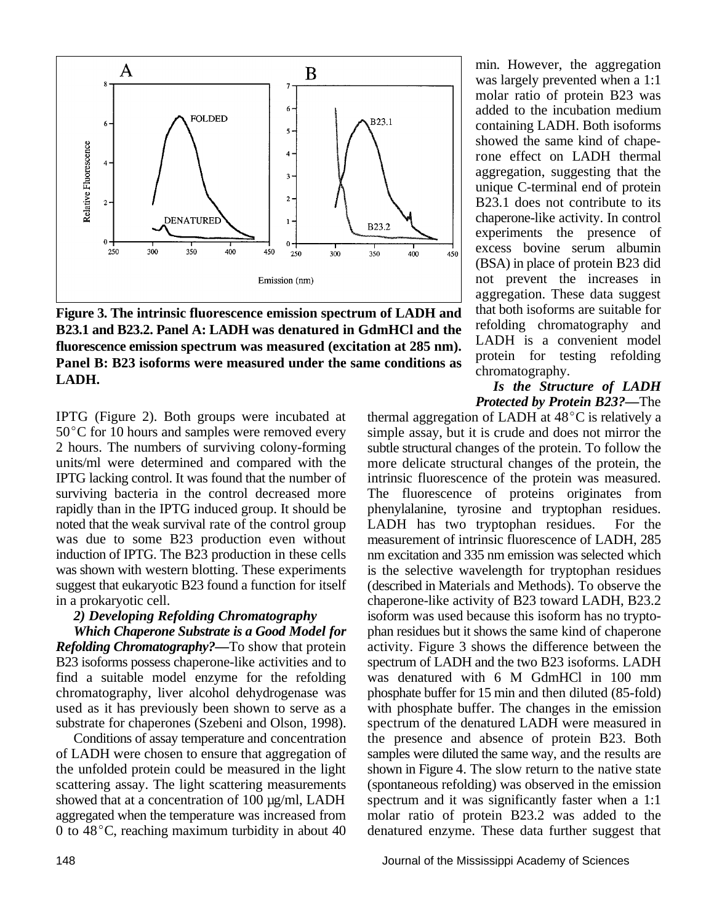

**Figure 3. The intrinsic fluorescence emission spectrum of LADH and B23.1 and B23.2. Panel A: LADH was denatured in GdmHCl and the fluorescence emission spectrum was measured (excitation at 285 nm). Panel B: B23 isoforms were measured under the same conditions as LADH.**

IPTG (Figure 2). Both groups were incubated at  $50^{\circ}$ C for 10 hours and samples were removed every 2 hours. The numbers of surviving colony-forming units/ml were determined and compared with the IPTG lacking control. It was found that the number of surviving bacteria in the control decreased more rapidly than in the IPTG induced group. It should be noted that the weak survival rate of the control group was due to some B23 production even without induction of IPTG. The B23 production in these cells was shown with western blotting. These experiments suggest that eukaryotic B23 found a function for itself in a prokaryotic cell.

min. However, the aggregation was largely prevented when a 1:1 molar ratio of protein B23 was added to the incubation medium containing LADH. Both isoforms showed the same kind of chaperone effect on LADH thermal aggregation, suggesting that the unique C-terminal end of protein B23.1 does not contribute to its chaperone-like activity. In control experiments the presence of excess bovine serum albumin (BSA) in place of protein B23 did not prevent the increases in aggregation. These data suggest that both isoforms are suitable for refolding chromatography and LADH is a convenient model protein for testing refolding chromatography.

*Is the Structure of LADH Protected by Protein B23?—*The

*2) Developing Refolding Chromatography* isoform was used because this isoform has no trypto-*Which Chaperone Substrate is a Good Model for* phan residues but it shows the same kind of chaperone *Refolding Chromatography?*—To show that protein activity. Figure 3 shows the difference between the B23 isoforms possess chaperone-like activities and to spectrum of LADH and the two B23 isoforms. LADH find a suitable model enzyme for the refolding was denatured with 6 M GdmHCl in 100 mm chromatography, liver alcohol dehydrogenase was phosphate buffer for 15 min and then diluted (85-fold) used as it has previously been shown to serve as a with phosphate buffer. The changes in the emission substrate for chaperones (Szebeni and Olson, 1998). spectrum of the denatured LADH were measured in Conditions of assay temperature and concentration the presence and absence of protein B23. Both of LADH were chosen to ensure that aggregation of samples were diluted the same way, and the results are the unfolded protein could be measured in the light shown in Figure 4. The slow return to the native state shown in Figure 4. The slow return to the native state scattering assay. The light scattering measurements (spontaneous refolding) was observed in the emission showed that at a concentration of 100  $\mu$ g/ml, LADH spectrum and it was significantly faster when a 1:1 aggregated when the temperature was increased from molar ratio of protein B23.2 was added to the 0 to  $48^{\circ}$ C, reaching maximum turbidity in about 40 denatured enzyme. These data further suggest that thermal aggregation of LADH at  $48^{\circ}$ C is relatively a simple assay, but it is crude and does not mirror the subtle structural changes of the protein. To follow the more delicate structural changes of the protein, the intrinsic fluorescence of the protein was measured. The fluorescence of proteins originates from phenylalanine, tyrosine and tryptophan residues. LADH has two tryptophan residues. For the measurement of intrinsic fluorescence of LADH, 285 nm excitation and 335 nm emission was selected which is the selective wavelength for tryptophan residues (described in Materials and Methods). To observe the chaperone-like activity of B23 toward LADH, B23.2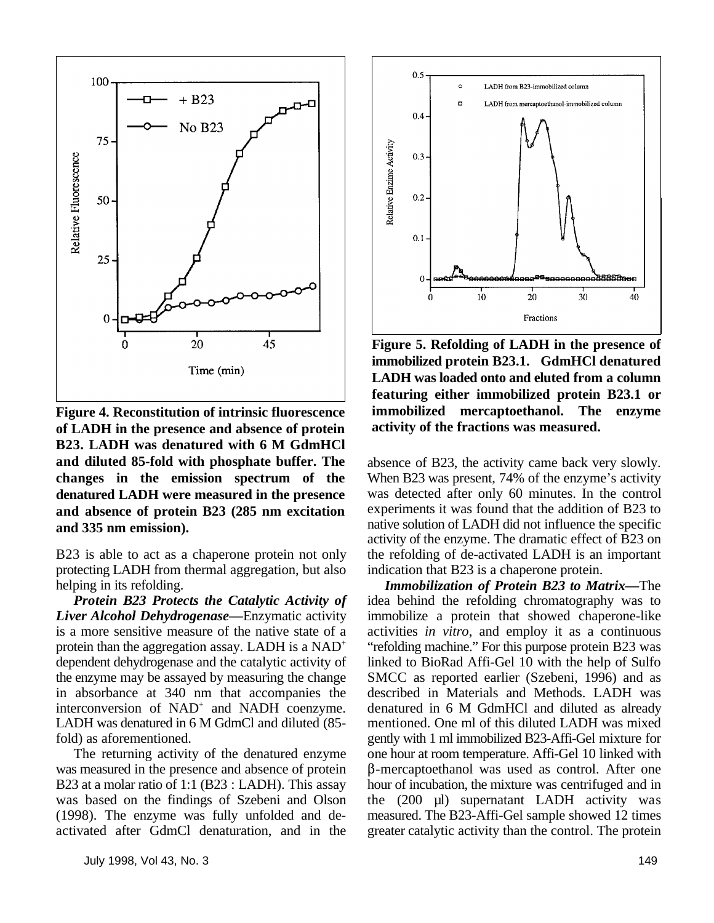

**Figure 4. Reconstitution of intrinsic fluorescence of LADH in the presence and absence of protein B23. LADH was denatured with 6 M GdmHCl and diluted 85-fold with phosphate buffer. The changes in the emission spectrum of the denatured LADH were measured in the presence and absence of protein B23 (285 nm excitation and 335 nm emission).**

protecting LADH from thermal aggregation, but also indication that B23 is a chaperone protein. helping in its refolding.



**Figure 5. Refolding of LADH in the presence of immobilized protein B23.1. GdmHCl denatured LADH was loaded onto and eluted from a column featuring either immobilized protein B23.1 or immobilized mercaptoethanol. The enzyme activity of the fractions was measured.**

B23 is able to act as a chaperone protein not only the refolding of de-activated LADH is an important absence of B23, the activity came back very slowly. When B23 was present, 74% of the enzyme's activity was detected after only 60 minutes. In the control experiments it was found that the addition of B23 to native solution of LADH did not influence the specific activity of the enzyme. The dramatic effect of B23 on

**Protein B23 Protects the Catalytic Activity of** idea behind the refolding chromatography was to *Liver Alcohol Dehydrogenase—*Enzymatic activity immobilize a protein that showed chaperone-like is a more sensitive measure of the native state of a activities *in vitro*, and employ it as a continuous protein than the aggregation assay. LADH is a  $NAD^+$  "refolding machine." For this purpose protein B23 was dependent dehydrogenase and the catalytic activity of linked to BioRad Affi-Gel 10 with the help of Sulfo the enzyme may be assayed by measuring the change SMCC as reported earlier (Szebeni, 1996) and as in absorbance at 340 nm that accompanies the described in Materials and Methods. LADH was interconversion of NAD<sup>+</sup> and NADH coenzyme. denatured in 6 M GdmHCl and diluted as already LADH was denatured in 6 M GdmCl and diluted (85- mentioned. One ml of this diluted LADH was mixed fold) as aforementioned. gently with 1 ml immobilized B23-Affi-Gel mixture for The returning activity of the denatured enzyme one hour at room temperature. Affi-Gel 10 linked with was measured in the presence and absence of protein  $\beta$ -mercaptoethanol was used as control. After one B23 at a molar ratio of 1:1 (B23 : LADH). This assay hour of incubation, the mixture was centrifuged and in was based on the findings of Szebeni and Olson the (200 µl) supernatant LADH activity was (1998). The enzyme was fully unfolded and de- measured. The B23-Affi-Gel sample showed 12 times activated after GdmCl denaturation, and in the greater catalytic activity than the control. The protein *Immobilization of Protein B23 to Matrix—*The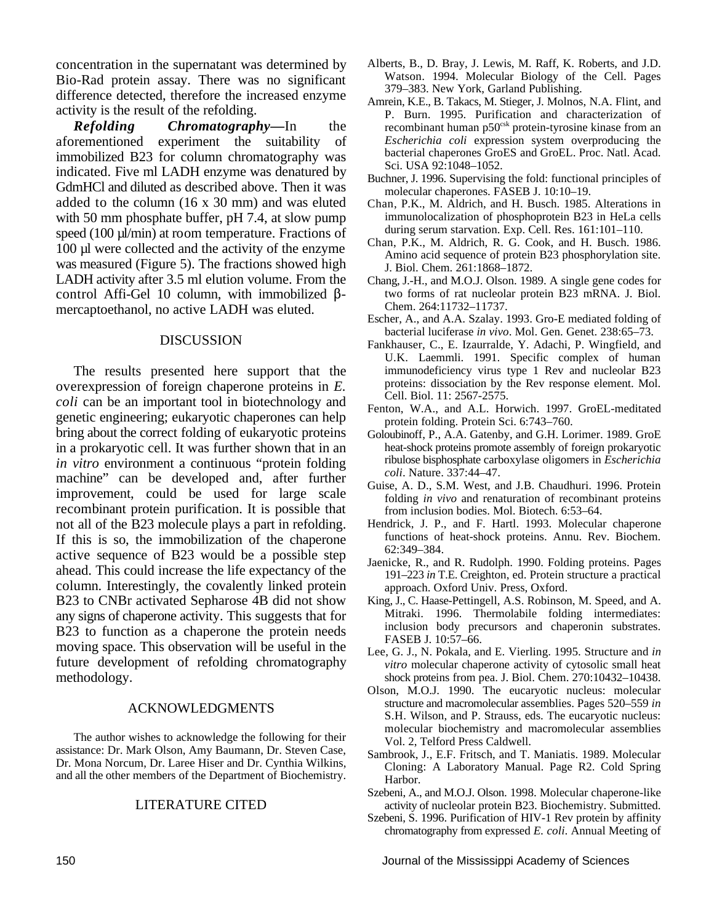concentration in the supernatant was determined by Bio-Rad protein assay. There was no significant difference detected, therefore the increased enzyme activity is the result of the refolding.

*Refolding Chromatography—*In the aforementioned experiment the suitability of immobilized B23 for column chromatography was indicated. Five ml LADH enzyme was denatured by GdmHCl and diluted as described above. Then it was added to the column (16 x 30 mm) and was eluted with 50 mm phosphate buffer, pH 7.4, at slow pump speed (100 µl/min) at room temperature. Fractions of 100 µl were collected and the activity of the enzyme was measured (Figure 5). The fractions showed high LADH activity after 3.5 ml elution volume. From the control Affi-Gel 10 column, with immobilized  $\beta$ mercaptoethanol, no active LADH was eluted.

#### DISCUSSION

The results presented here support that the overexpression of foreign chaperone proteins in *E. coli* can be an important tool in biotechnology and genetic engineering; eukaryotic chaperones can help bring about the correct folding of eukaryotic proteins in a prokaryotic cell. It was further shown that in an *in vitro* environment a continuous "protein folding machine" can be developed and, after further improvement, could be used for large scale recombinant protein purification. It is possible that not all of the B23 molecule plays a part in refolding. If this is so, the immobilization of the chaperone active sequence of B23 would be a possible step ahead. This could increase the life expectancy of the column. Interestingly, the covalently linked protein B23 to CNBr activated Sepharose 4B did not show any signs of chaperone activity. This suggests that for B23 to function as a chaperone the protein needs moving space. This observation will be useful in the future development of refolding chromatography methodology.

#### ACKNOWLEDGMENTS

The author wishes to acknowledge the following for their assistance: Dr. Mark Olson, Amy Baumann, Dr. Steven Case, Dr. Mona Norcum, Dr. Laree Hiser and Dr. Cynthia Wilkins, and all the other members of the Department of Biochemistry.

#### LITERATURE CITED

- Alberts, B., D. Bray, J. Lewis, M. Raff, K. Roberts, and J.D. Watson. 1994. Molecular Biology of the Cell. Pages 379–383. New York, Garland Publishing.
- Amrein, K.E., B. Takacs, M. Stieger, J. Molnos, N.A. Flint, and P. Burn. 1995. Purification and characterization of recombinant human  $p50<sup>csk</sup>$  protein-tyrosine kinase from an *Escherichia coli* expression system overproducing the bacterial chaperones GroES and GroEL. Proc. Natl. Acad. Sci. USA 92:1048–1052.
- Buchner, J. 1996. Supervising the fold: functional principles of molecular chaperones. FASEB J. 10:10–19.
- Chan, P.K., M. Aldrich, and H. Busch. 1985. Alterations in immunolocalization of phosphoprotein B23 in HeLa cells during serum starvation. Exp. Cell. Res. 161:101–110.
- Chan, P.K., M. Aldrich, R. G. Cook, and H. Busch. 1986. Amino acid sequence of protein B23 phosphorylation site. J. Biol. Chem. 261:1868–1872.
- Chang, J.-H., and M.O.J. Olson. 1989. A single gene codes for two forms of rat nucleolar protein B23 mRNA. J. Biol. Chem. 264:11732–11737.
- Escher, A., and A.A. Szalay. 1993. Gro-E mediated folding of bacterial luciferase *in vivo*. Mol. Gen. Genet. 238:65–73.
- Fankhauser, C., E. Izaurralde, Y. Adachi, P. Wingfield, and U.K. Laemmli. 1991. Specific complex of human immunodeficiency virus type 1 Rev and nucleolar B23 proteins: dissociation by the Rev response element. Mol. Cell. Biol. 11: 2567-2575.
- Fenton, W.A., and A.L. Horwich. 1997. GroEL-meditated protein folding. Protein Sci. 6:743–760.
- Goloubinoff, P., A.A. Gatenby, and G.H. Lorimer. 1989. GroE heat-shock proteins promote assembly of foreign prokaryotic ribulose bisphosphate carboxylase oligomers in *Escherichia coli*. Nature. 337:44–47.
- Guise, A. D., S.M. West, and J.B. Chaudhuri. 1996. Protein folding *in vivo* and renaturation of recombinant proteins from inclusion bodies. Mol. Biotech. 6:53–64.
- Hendrick, J. P., and F. Hartl. 1993. Molecular chaperone functions of heat-shock proteins. Annu. Rev. Biochem. 62:349–384.
- Jaenicke, R., and R. Rudolph. 1990. Folding proteins. Pages 191–223 *in* T.E. Creighton, ed. Protein structure a practical approach. Oxford Univ. Press, Oxford.
- King, J., C. Haase-Pettingell, A.S. Robinson, M. Speed, and A. Mitraki. 1996. Thermolabile folding intermediates: inclusion body precursors and chaperonin substrates. FASEB J. 10:57–66.
- Lee, G. J., N. Pokala, and E. Vierling. 1995. Structure and *in vitro* molecular chaperone activity of cytosolic small heat shock proteins from pea. J. Biol. Chem. 270:10432–10438.
- Olson, M.O.J. 1990. The eucaryotic nucleus: molecular structure and macromolecular assemblies. Pages 520–559 *in* S.H. Wilson, and P. Strauss, eds. The eucaryotic nucleus: molecular biochemistry and macromolecular assemblies Vol. 2, Telford Press Caldwell.
- Sambrook, J., E.F. Fritsch, and T. Maniatis. 1989. Molecular Cloning: A Laboratory Manual. Page R2. Cold Spring Harbor.
- Szebeni, A., and M.O.J. Olson. 1998. Molecular chaperone-like activity of nucleolar protein B23. Biochemistry. Submitted.
- Szebeni, S. 1996. Purification of HIV-1 Rev protein by affinity chromatography from expressed *E. coli*. Annual Meeting of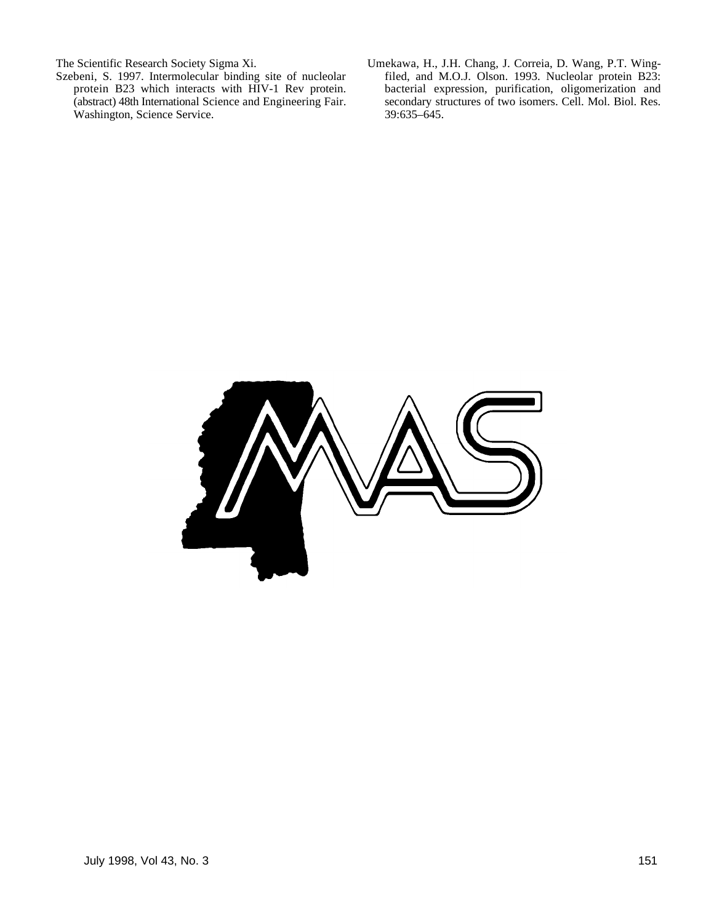- Szebeni, S. 1997. Intermolecular binding site of nucleolar protein B23 which interacts with HIV-1 Rev protein. Washington, Science Service.
- The Scientific Research Society Sigma Xi.<br>
Szebeni, S. 1997. Intermolecular binding site of nucleolar filed, and M.O.J. Olson. 1993. Nucleolar protein B23: protein B23 which interacts with HIV-1 Rev protein. bacterial expression, purification, oligomerization and (abstract) 48th International Science and Engineering Fair. secondary structures of two isomers. Cell. Mol. Biol. secondary structures of two isomers. Cell. Mol. Biol. Res. 39:635-645.

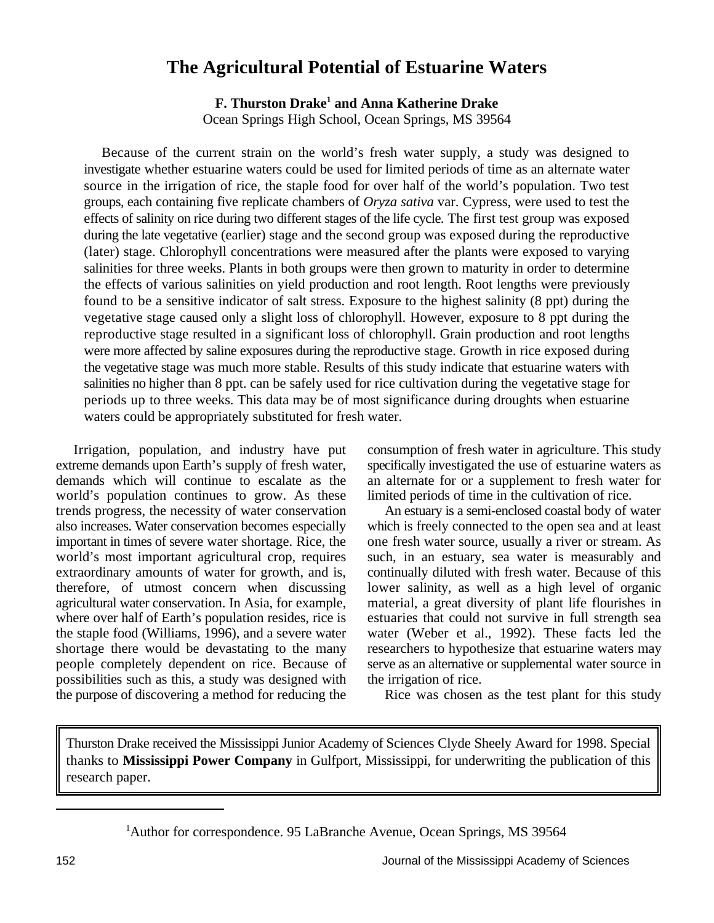## **The Agricultural Potential of Estuarine Waters**

**F. Thurston Drake<sup>1</sup> and Anna Katherine Drake** Ocean Springs High School, Ocean Springs, MS 39564

Because of the current strain on the world's fresh water supply, a study was designed to investigate whether estuarine waters could be used for limited periods of time as an alternate water source in the irrigation of rice, the staple food for over half of the world's population. Two test groups, each containing five replicate chambers of *Oryza sativa* var. Cypress, were used to test the effects of salinity on rice during two different stages of the life cycle. The first test group was exposed during the late vegetative (earlier) stage and the second group was exposed during the reproductive (later) stage. Chlorophyll concentrations were measured after the plants were exposed to varying salinities for three weeks. Plants in both groups were then grown to maturity in order to determine the effects of various salinities on yield production and root length. Root lengths were previously found to be a sensitive indicator of salt stress. Exposure to the highest salinity (8 ppt) during the vegetative stage caused only a slight loss of chlorophyll. However, exposure to 8 ppt during the reproductive stage resulted in a significant loss of chlorophyll. Grain production and root lengths were more affected by saline exposures during the reproductive stage. Growth in rice exposed during the vegetative stage was much more stable. Results of this study indicate that estuarine waters with salinities no higher than 8 ppt. can be safely used for rice cultivation during the vegetative stage for periods up to three weeks. This data may be of most significance during droughts when estuarine waters could be appropriately substituted for fresh water.

Irrigation, population, and industry have put consumption of fresh water in agriculture. This study world's population continues to grow. As these limited periods of time in the cultivation of rice. possibilities such as this, a study was designed with the irrigation of rice. the purpose of discovering a method for reducing the Rice was chosen as the test plant for this study

extreme demands upon Earth's supply of fresh water, specifically investigated the use of estuarine waters as demands which will continue to escalate as the an alternate for or a supplement to fresh water for

trends progress, the necessity of water conservation An estuary is a semi-enclosed coastal body of water also increases. Water conservation becomes especially which is freely connected to the open sea and at least important in times of severe water shortage. Rice, the one fresh water source, usually a river or stream. As world's most important agricultural crop, requires such, in an estuary, sea water is measurably and extraordinary amounts of water for growth, and is, continually diluted with fresh water. Because of this therefore, of utmost concern when discussing lower salinity, as well as a high level of organic agricultural water conservation. In Asia, for example, material, a great diversity of plant life flourishes in where over half of Earth's population resides, rice is estuaries that could not survive in full strength sea the staple food (Williams, 1996), and a severe water water (Weber et al., 1992). These facts led the shortage there would be devastating to the many researchers to hypothesize that estuarine waters may people completely dependent on rice. Because of serve as an alternative or supplemental water source in

Thurston Drake received the Mississippi Junior Academy of Sciences Clyde Sheely Award for 1998. Special thanks to **Mississippi Power Company** in Gulfport, Mississippi, for underwriting the publication of this research paper.

<sup>&</sup>lt;sup>1</sup>Author for correspondence. 95 LaBranche Avenue, Ocean Springs, MS 39564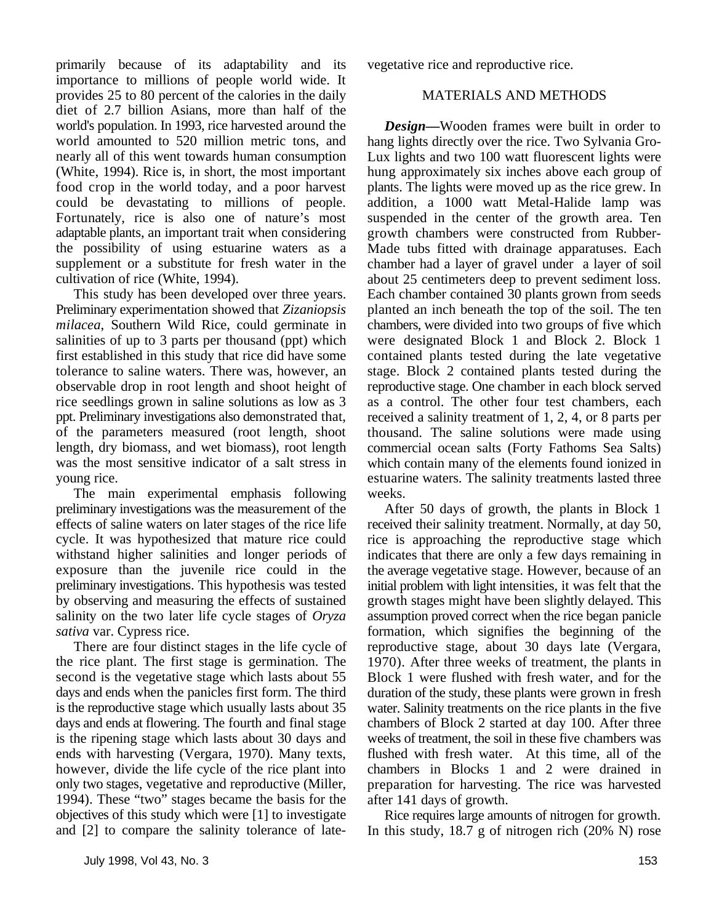primarily because of its adaptability and its vegetative rice and reproductive rice. importance to millions of people world wide. It provides 25 to 80 percent of the calories in the daily MATERIALS AND METHODS diet of 2.7 billion Asians, more than half of the world's population. In 1993, rice harvested around the world amounted to 520 million metric tons, and nearly all of this went towards human consumption (White, 1994). Rice is, in short, the most important food crop in the world today, and a poor harvest could be devastating to millions of people. Fortunately, rice is also one of nature's most adaptable plants, an important trait when considering the possibility of using estuarine waters as a supplement or a substitute for fresh water in the cultivation of rice (White, 1994).

This study has been developed over three years. Preliminary experimentation showed that *Zizaniopsis milacea*, Southern Wild Rice, could germinate in salinities of up to 3 parts per thousand (ppt) which first established in this study that rice did have some tolerance to saline waters. There was, however, an observable drop in root length and shoot height of rice seedlings grown in saline solutions as low as 3 ppt. Preliminary investigations also demonstrated that, of the parameters measured (root length, shoot length, dry biomass, and wet biomass), root length was the most sensitive indicator of a salt stress in young rice.

The main experimental emphasis following preliminary investigations was the measurement of the effects of saline waters on later stages of the rice life cycle. It was hypothesized that mature rice could withstand higher salinities and longer periods of exposure than the juvenile rice could in the preliminary investigations. This hypothesis was tested by observing and measuring the effects of sustained salinity on the two later life cycle stages of *Oryza sativa* var. Cypress rice.

There are four distinct stages in the life cycle of the rice plant. The first stage is germination. The second is the vegetative stage which lasts about 55 days and ends when the panicles first form. The third is the reproductive stage which usually lasts about 35 days and ends at flowering. The fourth and final stage is the ripening stage which lasts about 30 days and ends with harvesting (Vergara, 1970). Many texts, however, divide the life cycle of the rice plant into only two stages, vegetative and reproductive (Miller, 1994). These "two" stages became the basis for the objectives of this study which were [1] to investigate and [2] to compare the salinity tolerance of late-

*Design—*Wooden frames were built in order to hang lights directly over the rice. Two Sylvania Gro-Lux lights and two 100 watt fluorescent lights were hung approximately six inches above each group of plants. The lights were moved up as the rice grew. In addition, a 1000 watt Metal-Halide lamp was suspended in the center of the growth area. Ten growth chambers were constructed from Rubber-Made tubs fitted with drainage apparatuses. Each chamber had a layer of gravel under a layer of soil about 25 centimeters deep to prevent sediment loss. Each chamber contained 30 plants grown from seeds planted an inch beneath the top of the soil. The ten chambers, were divided into two groups of five which were designated Block 1 and Block 2. Block 1 contained plants tested during the late vegetative stage. Block 2 contained plants tested during the reproductive stage. One chamber in each block served as a control. The other four test chambers, each received a salinity treatment of 1, 2, 4, or 8 parts per thousand. The saline solutions were made using commercial ocean salts (Forty Fathoms Sea Salts) which contain many of the elements found ionized in estuarine waters. The salinity treatments lasted three weeks.

After 50 days of growth, the plants in Block 1 received their salinity treatment. Normally, at day 50, rice is approaching the reproductive stage which indicates that there are only a few days remaining in the average vegetative stage. However, because of an initial problem with light intensities, it was felt that the growth stages might have been slightly delayed. This assumption proved correct when the rice began panicle formation, which signifies the beginning of the reproductive stage, about 30 days late (Vergara, 1970). After three weeks of treatment, the plants in Block 1 were flushed with fresh water, and for the duration of the study, these plants were grown in fresh water. Salinity treatments on the rice plants in the five chambers of Block 2 started at day 100. After three weeks of treatment, the soil in these five chambers was flushed with fresh water. At this time, all of the chambers in Blocks 1 and 2 were drained in preparation for harvesting. The rice was harvested after 141 days of growth.

Rice requires large amounts of nitrogen for growth. In this study, 18.7 g of nitrogen rich (20% N) rose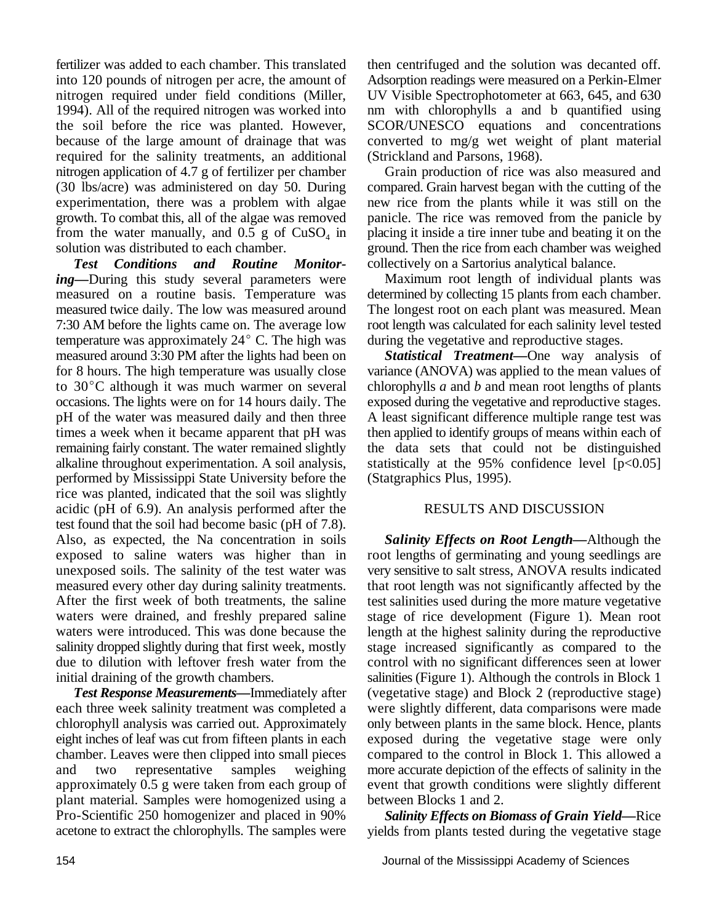fertilizer was added to each chamber. This translated then centrifuged and the solution was decanted off. into 120 pounds of nitrogen per acre, the amount of Adsorption readings were measured on a Perkin-Elmer nitrogen required under field conditions (Miller, UV Visible Spectrophotometer at 663, 645, and 630 the soil before the rice was planted. However, SCOR/UNESCO equations and concentrations because of the large amount of drainage that was converted to mg/g wet weight of plant material required for the salinity treatments, an additional (Strickland and Parsons, 1968). nitrogen application of 4.7 g of fertilizer per chamber Grain production of rice was also measured and (30 lbs/acre) was administered on day 50. During compared. Grain harvest began with the cutting of the experimentation, there was a problem with algae new rice from the plants while it was still on the from the water manually, and  $0.5$  g of  $CuSO<sub>4</sub>$  in solution was distributed to each chamber.

*Test Conditions and Routine Monitoring—*During this study several parameters were measured on a routine basis. Temperature was measured twice daily. The low was measured around 7:30 AM before the lights came on. The average low temperature was approximately  $24^{\circ}$  C. The high was measured around 3:30 PM after the lights had been on *Statistical Treatment—*One way analysis of for 8 hours. The high temperature was usually close variance (ANOVA) was applied to the mean values of to 30 $^{\circ}$ C although it was much warmer on several chlorophylls *a* and *b* and mean root lengths of plants occasions. The lights were on for 14 hours daily. The exposed during the vegetative and reproductive stages. pH of the water was measured daily and then three A least significant difference multiple range test was times a week when it became apparent that pH was then applied to identify groups of means within each of remaining fairly constant. The water remained slightly the data sets that could not be distinguished alkaline throughout experimentation. A soil analysis, statistically at the 95% confidence level  $[p<0.05]$ performed by Mississippi State University before the (Statgraphics Plus, 1995). rice was planted, indicated that the soil was slightly acidic (pH of 6.9). An analysis performed after the RESULTS AND DISCUSSION test found that the soil had become basic (pH of 7.8). Also, as expected, the Na concentration in soils exposed to saline waters was higher than in unexposed soils. The salinity of the test water was measured every other day during salinity treatments. After the first week of both treatments, the saline waters were drained, and freshly prepared saline waters were introduced. This was done because the salinity dropped slightly during that first week, mostly due to dilution with leftover fresh water from the initial draining of the growth chambers.

each three week salinity treatment was completed a were slightly different, data comparisons were made chlorophyll analysis was carried out. Approximately only between plants in the same block. Hence, plants eight inches of leaf was cut from fifteen plants in each exposed during the vegetative stage were only chamber. Leaves were then clipped into small pieces compared to the control in Block 1. This allowed a and two representative samples weighing more accurate depiction of the effects of salinity in the approximately 0.5 g were taken from each group of event that growth conditions were slightly different plant material. Samples were homogenized using a between Blocks 1 and 2. Pro-Scientific 250 homogenizer and placed in 90% acetone to extract the chlorophylls. The samples were

1994). All of the required nitrogen was worked into nm with chlorophylls a and b quantified using

growth. To combat this, all of the algae was removed panicle. The rice was removed from the panicle by placing it inside a tire inner tube and beating it on the ground. Then the rice from each chamber was weighed. collectively on a Sartorius analytical balance.

Maximum root length of individual plants was determined by collecting 15 plants from each chamber. The longest root on each plant was measured. Mean root length was calculated for each salinity level tested during the vegetative and reproductive stages.

**Test Response Measurements—Immediately after** (vegetative stage) and Block 2 (reproductive stage) *Salinity Effects on Root Length—*Although the root lengths of germinating and young seedlings are very sensitive to salt stress, ANOVA results indicated that root length was not significantly affected by the test salinities used during the more mature vegetative stage of rice development (Figure 1). Mean root length at the highest salinity during the reproductive stage increased significantly as compared to the control with no significant differences seen at lower salinities (Figure 1). Although the controls in Block 1

> *Salinity Effects on Biomass of Grain Yield—*Rice yields from plants tested during the vegetative stage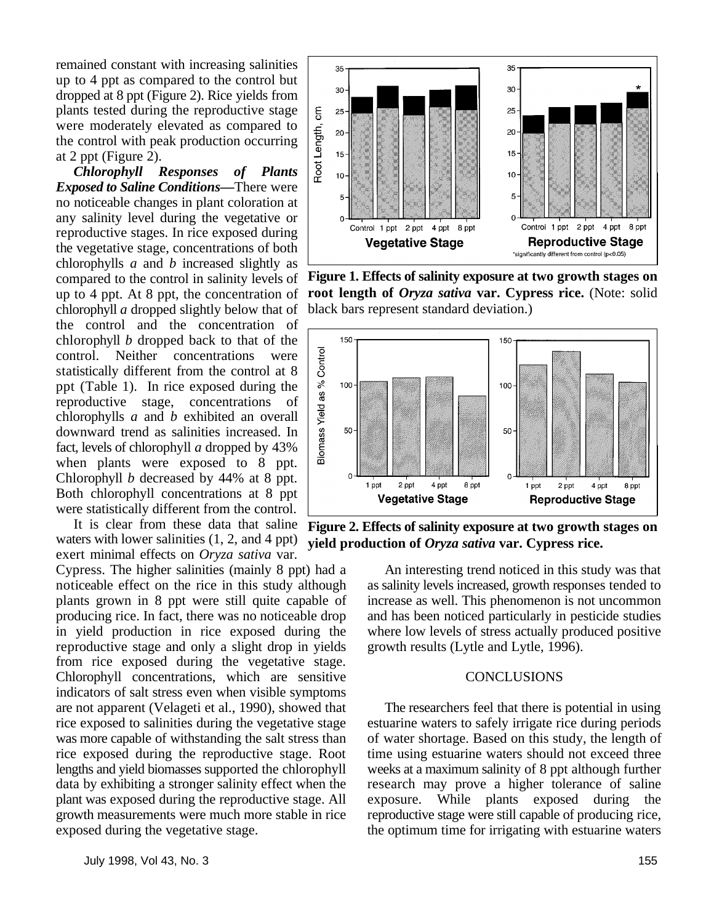remained constant with increasing salinities up to 4 ppt as compared to the control but dropped at 8 ppt (Figure 2). Rice yields from plants tested during the reproductive stage were moderately elevated as compared to the control with peak production occurring at 2 ppt (Figure 2).

*Chlorophyll Responses of Plants Exposed to Saline Conditions—*There were no noticeable changes in plant coloration at any salinity level during the vegetative or reproductive stages. In rice exposed during the vegetative stage, concentrations of both chlorophylls *a* and *b* increased slightly as compared to the control in salinity levels of up to 4 ppt. At 8 ppt, the concentration of chlorophyll *a* dropped slightly below that of the control and the concentration of chlorophyll *b* dropped back to that of the control. Neither concentrations were statistically different from the control at 8 ppt (Table 1). In rice exposed during the reproductive stage, concentrations of chlorophylls *a* and *b* exhibited an overall downward trend as salinities increased. In fact, levels of chlorophyll *a* dropped by 43% when plants were exposed to 8 ppt. Chlorophyll *b* decreased by 44% at 8 ppt. Both chlorophyll concentrations at 8 ppt were statistically different from the control.

waters with lower salinities (1, 2, and 4 ppt) exert minimal effects on *Oryza sativa* var.

reproductive stage and only a slight drop in yields growth results (Lytle and Lytle, 1996). from rice exposed during the vegetative stage. Chlorophyll concentrations, which are sensitive CONCLUSIONS indicators of salt stress even when visible symptoms are not apparent (Velageti et al., 1990), showed that The researchers feel that there is potential in using lengths and yield biomasses supported the chlorophyll



**Figure 1. Effects of salinity exposure at two growth stages on root length of** *Oryza sativa* **var. Cypress rice.** (Note: solid black bars represent standard deviation.)



It is clear from these data that saline Figure 2. Effects of salinity exposure at two growth stages on **yield production of** *Oryza sativa* **var. Cypress rice.**

Cypress. The higher salinities (mainly 8 ppt) had a An interesting trend noticed in this study was that noticeable effect on the rice in this study although as salinity levels increased, growth responses tended to plants grown in 8 ppt were still quite capable of increase as well. This phenomenon is not uncommon producing rice. In fact, there was no noticeable drop and has been noticed particularly in pesticide studies in yield production in rice exposed during the where low levels of stress actually produced positive

rice exposed to salinities during the vegetative stage estuarine waters to safely irrigate rice during periods was more capable of withstanding the salt stress than of water shortage. Based on this study, the length of rice exposed during the reproductive stage. Root time using estuarine waters should not exceed three<br>lengths and yield biomasses supported the chlorophyll weeks at a maximum salinity of 8 ppt although further data by exhibiting a stronger salinity effect when the research may prove a higher tolerance of saline plant was exposed during the reproductive stage. All exposure. While plants exposed during the growth measurements were much more stable in rice reproductive stage were still capable of producing rice, exposed during the vegetative stage. the optimum time for irrigating with estuarine waters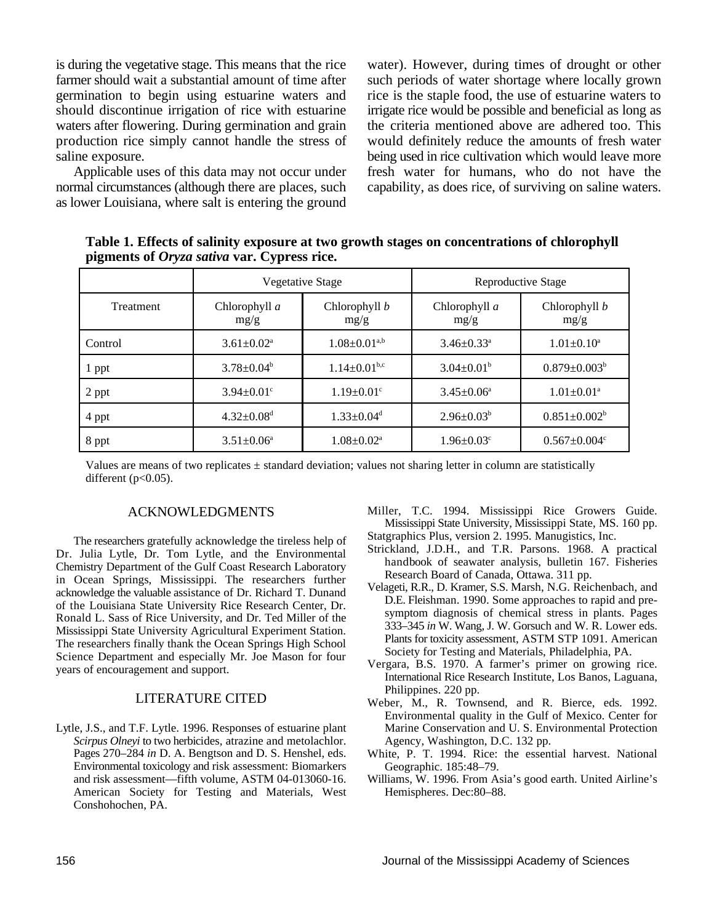as lower Louisiana, where salt is entering the ground

is during the vegetative stage. This means that the rice water). However, during times of drought or other farmer should wait a substantial amount of time after such periods of water shortage where locally grown germination to begin using estuarine waters and rice is the staple food, the use of estuarine waters to should discontinue irrigation of rice with estuarine irrigate rice would be possible and beneficial as long as waters after flowering. During germination and grain the criteria mentioned above are adhered too. This production rice simply cannot handle the stress of would definitely reduce the amounts of fresh water saline exposure. being used in rice cultivation which would leave more Applicable uses of this data may not occur under fresh water for humans, who do not have the normal circumstances (although there are places, such capability, as does rice, of surviving on saline waters.

**Table 1. Effects of salinity exposure at two growth stages on concentrations of chlorophyll pigments of** *Oryza sativa* **var. Cypress rice.**

|                  | Vegetative Stage             |                                | Reproductive Stage           |                                |
|------------------|------------------------------|--------------------------------|------------------------------|--------------------------------|
| <b>Treatment</b> | Chlorophyll a<br>mg/g        | Chlorophyll b<br>mg/g          | Chlorophyll $a$<br>mg/g      | Chlorophyll b<br>mg/g          |
| Control          | $3.61 \pm 0.02^a$            | $1.08\pm0.01^{\mathrm{a,b}}$   | $3.46 \pm 0.33$ <sup>a</sup> | $1.01 \pm 0.10^a$              |
| 1 ppt            | $3.78 \pm 0.04^b$            | $1.14 \pm 0.01$ <sup>b,c</sup> | $3.04 \pm 0.01^b$            | $0.879 \pm 0.003^b$            |
| 2 ppt            | $3.94 \pm 0.01$ °            | $1.19 \pm 0.01$ <sup>c</sup>   | $3.45 \pm 0.06^{\circ}$      | $1.01 \pm 0.01$ <sup>a</sup>   |
| 4 ppt            | $4.32 \pm 0.08$ <sup>d</sup> | $1.33 \pm 0.04$ <sup>d</sup>   | $2.96 \pm 0.03^b$            | $0.851 \pm 0.002^b$            |
| 8 ppt            | $3.51 \pm 0.06^{\circ}$      | $1.08 \pm 0.02^{\text{a}}$     | $1.96 \pm 0.03$ <sup>c</sup> | $0.567 \pm 0.004$ <sup>c</sup> |

Values are means of two replicates  $\pm$  standard deviation; values not sharing letter in column are statistically different  $(p<0.05)$ .

#### ACKNOWLEDGMENTS

The researchers gratefully acknowledge the tireless help of Dr. Julia Lytle, Dr. Tom Lytle, and the Environmental Chemistry Department of the Gulf Coast Research Laboratory in Ocean Springs, Mississippi. The researchers further acknowledge the valuable assistance of Dr. Richard T. Dunand of the Louisiana State University Rice Research Center, Dr. Ronald L. Sass of Rice University, and Dr. Ted Miller of the Mississippi State University Agricultural Experiment Station. The researchers finally thank the Ocean Springs High School Science Department and especially Mr. Joe Mason for four years of encouragement and support.

#### LITERATURE CITED

Lytle, J.S., and T.F. Lytle. 1996. Responses of estuarine plant *Scirpus Olneyi* to two herbicides, atrazine and metolachlor. Pages 270–284 *in* D. A. Bengtson and D. S. Henshel, eds. Environmental toxicology and risk assessment: Biomarkers and risk assessment—fifth volume, ASTM 04-013060-16. American Society for Testing and Materials, West Conshohochen, PA.

- Miller, T.C. 1994. Mississippi Rice Growers Guide. Mississippi State University, Mississippi State, MS. 160 pp. Statgraphics Plus, version 2. 1995. Manugistics, Inc.
- Strickland, J.D.H., and T.R. Parsons. 1968. A practical handbook of seawater analysis, bulletin 167. Fisheries
- Research Board of Canada, Ottawa. 311 pp. Velageti, R.R., D. Kramer, S.S. Marsh, N.G. Reichenbach, and D.E. Fleishman. 1990. Some approaches to rapid and presymptom diagnosis of chemical stress in plants. Pages 333–345 *in* W. Wang, J. W. Gorsuch and W. R. Lower eds. Plants for toxicity assessment, ASTM STP 1091. American Society for Testing and Materials, Philadelphia, PA.
- Vergara, B.S. 1970. A farmer's primer on growing rice. International Rice Research Institute, Los Banos, Laguana, Philippines. 220 pp.
- Weber, M., R. Townsend, and R. Bierce, eds. 1992. Environmental quality in the Gulf of Mexico. Center for Marine Conservation and U. S. Environmental Protection Agency, Washington, D.C. 132 pp.
- White, P. T. 1994. Rice: the essential harvest. National Geographic. 185:48–79.
- Williams, W. 1996. From Asia's good earth. United Airline's Hemispheres. Dec:80–88.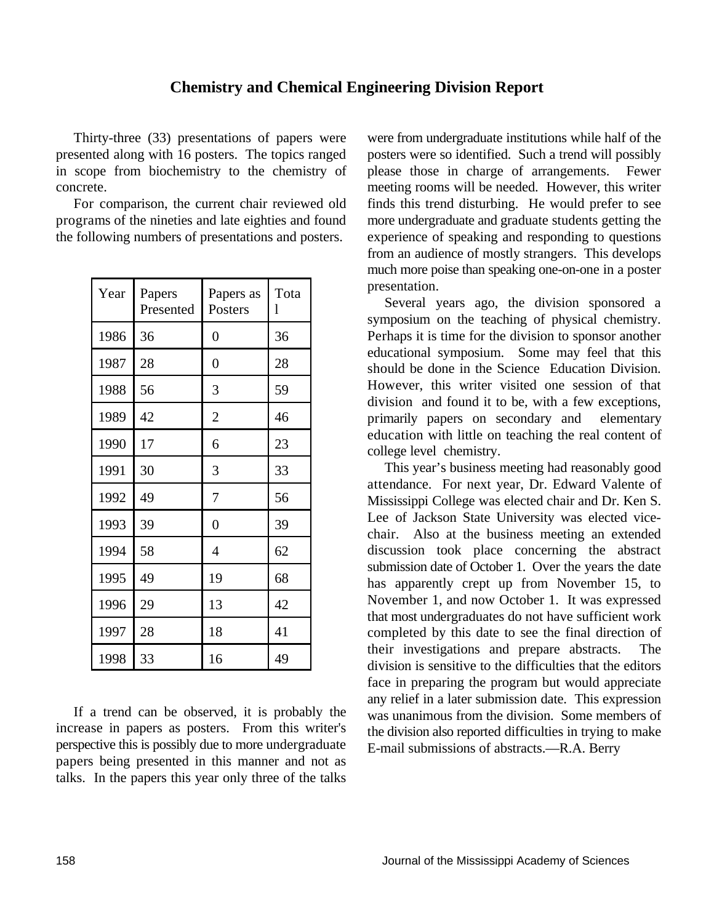#### **Chemistry and Chemical Engineering Division Report**

| Year | Papers<br>Presented | Papers as<br>Posters | Tota<br>1 |
|------|---------------------|----------------------|-----------|
| 1986 | 36                  | $\boldsymbol{0}$     | 36        |
| 1987 | 28                  | $\overline{0}$       | 28        |
| 1988 | 56                  | 3                    | 59        |
| 1989 | 42                  | $\overline{c}$       | 46        |
| 1990 | 17                  | 6                    | 23        |
| 1991 | 30                  | 3                    | 33        |
| 1992 | 49                  | 7                    | 56        |
| 1993 | 39                  | $\overline{0}$       | 39        |
| 1994 | 58                  | 4                    | 62        |
| 1995 | 49                  | 19                   | 68        |
| 1996 | 29                  | 13                   | 42        |
| 1997 | 28                  | 18                   | 41        |
| 1998 | 33                  | 16                   | 49        |

If a trend can be observed, it is probably the increase in papers as posters. From this writer's perspective this is possibly due to more undergraduate papers being presented in this manner and not as talks. In the papers this year only three of the talks

Thirty-three (33) presentations of papers were were from undergraduate institutions while half of the presented along with 16 posters. The topics ranged posters were so identified. Such a trend will possibly in scope from biochemistry to the chemistry of please those in charge of arrangements. Fewer concrete. meeting rooms will be needed. However, this writer For comparison, the current chair reviewed old finds this trend disturbing. He would prefer to see programs of the nineties and late eighties and found more undergraduate and graduate students getting the the following numbers of presentations and posters. experience of speaking and responding to questions much more poise than speaking one-on-one in a poster from an audience of mostly strangers. This develops presentation.

> Several years ago, the division sponsored a symposium on the teaching of physical chemistry. Perhaps it is time for the division to sponsor another educational symposium. Some may feel that this should be done in the Science Education Division. However, this writer visited one session of that division and found it to be, with a few exceptions, primarily papers on secondary and elementary education with little on teaching the real content of college level chemistry.

> This year's business meeting had reasonably good attendance. For next year, Dr. Edward Valente of Mississippi College was elected chair and Dr. Ken S. Lee of Jackson State University was elected vicechair. Also at the business meeting an extended discussion took place concerning the abstract submission date of October 1. Over the years the date has apparently crept up from November 15, to November 1, and now October 1. It was expressed that most undergraduates do not have sufficient work completed by this date to see the final direction of their investigations and prepare abstracts. The division is sensitive to the difficulties that the editors face in preparing the program but would appreciate any relief in a later submission date. This expression was unanimous from the division. Some members of the division also reported difficulties in trying to make E-mail submissions of abstracts.—R.A. Berry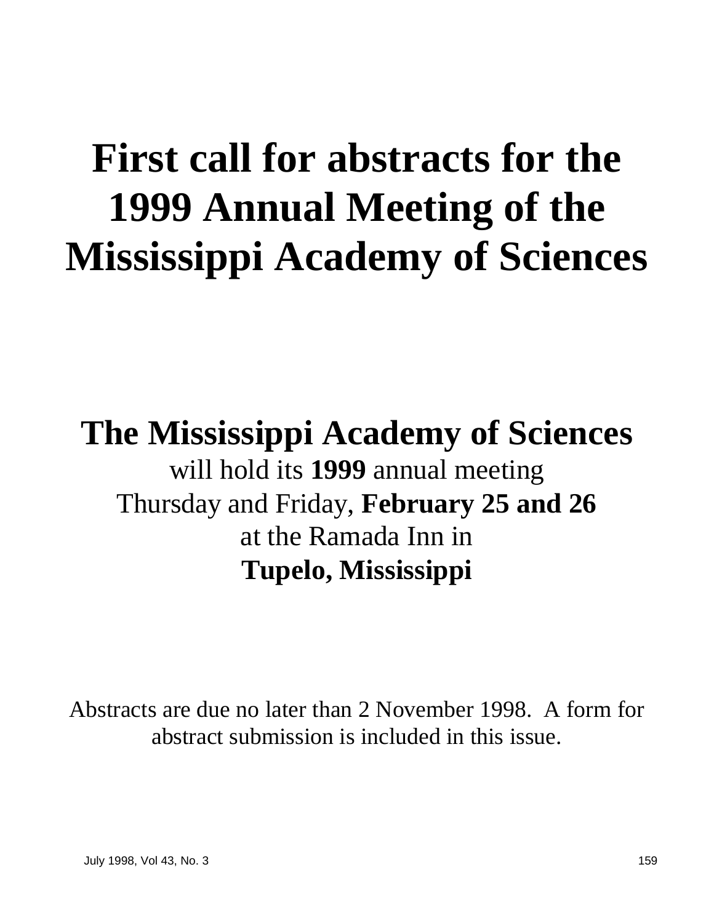# **First call for abstracts for the 1999 Annual Meeting of the Mississippi Academy of Sciences**

# **The Mississippi Academy of Sciences** will hold its **1999** annual meeting Thursday and Friday, **February 25 and 26** at the Ramada Inn in **Tupelo, Mississippi**

Abstracts are due no later than 2 November 1998. A form for abstract submission is included in this issue.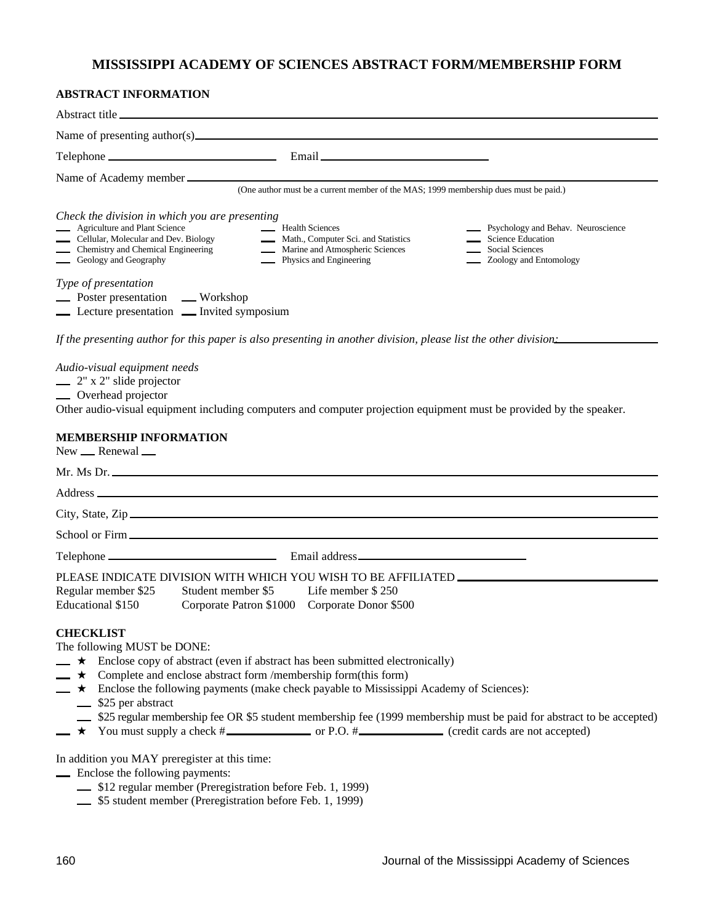#### **MISSISSIPPI ACADEMY OF SCIENCES ABSTRACT FORM/MEMBERSHIP FORM**

#### **ABSTRACT INFORMATION**

| Abstract title                                                                                                                              |                                                                                                                                                        |                                                                                                                               |
|---------------------------------------------------------------------------------------------------------------------------------------------|--------------------------------------------------------------------------------------------------------------------------------------------------------|-------------------------------------------------------------------------------------------------------------------------------|
| Name of presenting author(s) $\_\_\_\_\_\_\_\_\_\_\_\_\_\_\_\_\_\_\_\_\_\_\_\_\_\_\_\_\_\_\_$                                               |                                                                                                                                                        |                                                                                                                               |
| Telephone                                                                                                                                   |                                                                                                                                                        |                                                                                                                               |
| Name of Academy member<br>Check the division in which you are presenting                                                                    | (One author must be a current member of the MAS; 1999 membership dues must be paid.)                                                                   |                                                                                                                               |
| <b>Agriculture and Plant Science</b><br>Cellular, Molecular and Dev. Biology<br>Chemistry and Chemical Engineering<br>Geology and Geography | <b>Example 3</b> Health Sciences<br>Math., Computer Sci. and Statistics<br>Marine and Atmospheric Sciences<br><b>Example 2</b> Physics and Engineering | <b>EXECUTE:</b> Psychology and Behav. Neuroscience<br>Science Education<br>Social Sciences<br><b>2</b> Zoology and Entomology |
| Type of presentation<br>Northern presentation Workshop<br><b>Lecture presentation Lecture</b> Invited symposium                             |                                                                                                                                                        |                                                                                                                               |

*If the presenting author for this paper is also presenting in another division, please list the other division:*

*Audio-visual equipment needs*

 $\equiv$  2" x 2" slide projector

**COVEREGAL Overhead** projector

Other audio-visual equipment including computers and computer projection equipment must be provided by the speaker.

#### **MEMBERSHIP INFORMATION**

New <u>- Renewal</u>

|                                                          | Mr. Ms Dr.                                                                        |
|----------------------------------------------------------|-----------------------------------------------------------------------------------|
|                                                          |                                                                                   |
|                                                          | City, State, Zip                                                                  |
|                                                          |                                                                                   |
|                                                          |                                                                                   |
|                                                          | PLEASE INDICATE DIVISION WITH WHICH YOU WISH TO BE AFFILIATED ___________________ |
| Regular member \$25 Student member \$5 Life member \$250 |                                                                                   |

| Regular inember $\partial \mathcal{L}$ | Student member 35       | $L$ Life inempted $\Delta$ $\Delta$ $\Delta$ |
|----------------------------------------|-------------------------|----------------------------------------------|
| Educational \$150                      | Corporate Patron \$1000 | Corporate Donor \$500                        |

#### **CHECKLIST**

The following MUST be DONE:

- $\rightarrow$  Enclose copy of abstract (even if abstract has been submitted electronically)
- $\longrightarrow$  Complete and enclose abstract form /membership form(this form)
- $\rightarrow \star$  Enclose the following payments (make check payable to Mississippi Academy of Sciences):
	- 525 per abstract
	- \$25 regular membership fee OR \$5 student membership fee (1999 membership must be paid for abstract to be accepted)
- $\rightarrow$  You must supply a check  $\#$  or P.O.  $\#$  (credit cards are not accepted)

In addition you MAY preregister at this time:

- Enclose the following payments:
	- \$12 regular member (Preregistration before Feb. 1, 1999)
	- $\frac{1}{10}$  \$5 student member (Preregistration before Feb. 1, 1999)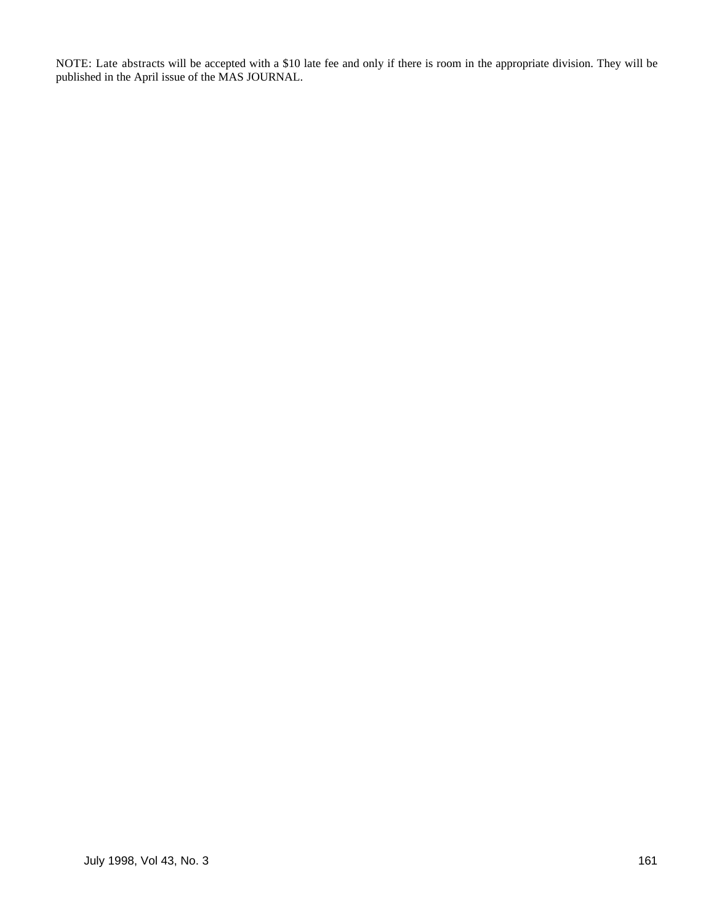NOTE: Late abstracts will be accepted with a \$10 late fee and only if there is room in the appropriate division. They will be published in the April issue of the MAS JOURNAL.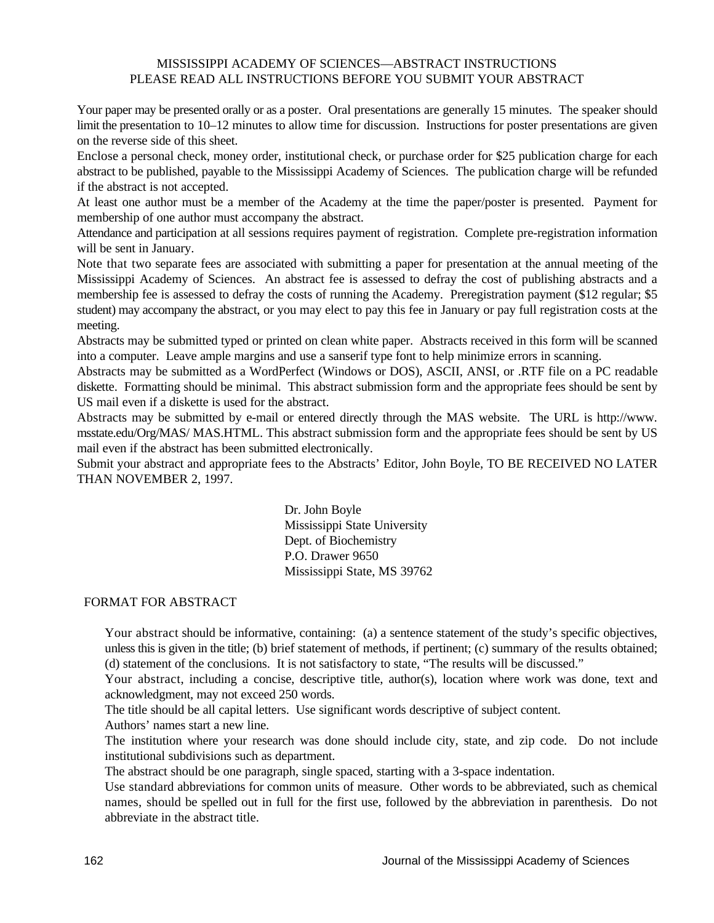#### MISSISSIPPI ACADEMY OF SCIENCES—ABSTRACT INSTRUCTIONS PLEASE READ ALL INSTRUCTIONS BEFORE YOU SUBMIT YOUR ABSTRACT

Your paper may be presented orally or as a poster. Oral presentations are generally 15 minutes. The speaker should limit the presentation to 10–12 minutes to allow time for discussion. Instructions for poster presentations are given on the reverse side of this sheet.

Enclose a personal check, money order, institutional check, or purchase order for \$25 publication charge for each abstract to be published, payable to the Mississippi Academy of Sciences. The publication charge will be refunded if the abstract is not accepted.

At least one author must be a member of the Academy at the time the paper/poster is presented. Payment for membership of one author must accompany the abstract.

Attendance and participation at all sessions requires payment of registration. Complete pre-registration information will be sent in January.

Note that two separate fees are associated with submitting a paper for presentation at the annual meeting of the Mississippi Academy of Sciences. An abstract fee is assessed to defray the cost of publishing abstracts and a membership fee is assessed to defray the costs of running the Academy. Preregistration payment (\$12 regular; \$5 student) may accompany the abstract, or you may elect to pay this fee in January or pay full registration costs at the meeting.

Abstracts may be submitted typed or printed on clean white paper. Abstracts received in this form will be scanned into a computer. Leave ample margins and use a sanserif type font to help minimize errors in scanning.

Abstracts may be submitted as a WordPerfect (Windows or DOS), ASCII, ANSI, or .RTF file on a PC readable diskette. Formatting should be minimal. This abstract submission form and the appropriate fees should be sent by US mail even if a diskette is used for the abstract.

Abstracts may be submitted by e-mail or entered directly through the MAS website. The URL is http://www. msstate.edu/Org/MAS/ MAS.HTML. This abstract submission form and the appropriate fees should be sent by US mail even if the abstract has been submitted electronically.

Submit your abstract and appropriate fees to the Abstracts' Editor, John Boyle, TO BE RECEIVED NO LATER THAN NOVEMBER 2, 1997.

> Dr. John Boyle Mississippi State University Dept. of Biochemistry P.O. Drawer 9650 Mississippi State, MS 39762

#### FORMAT FOR ABSTRACT

Your abstract should be informative, containing: (a) a sentence statement of the study's specific objectives, unless this is given in the title; (b) brief statement of methods, if pertinent; (c) summary of the results obtained; (d) statement of the conclusions. It is not satisfactory to state, "The results will be discussed."

Your abstract, including a concise, descriptive title, author(s), location where work was done, text and acknowledgment, may not exceed 250 words.

The title should be all capital letters. Use significant words descriptive of subject content.

Authors' names start a new line.

The institution where your research was done should include city, state, and zip code. Do not include institutional subdivisions such as department.

The abstract should be one paragraph, single spaced, starting with a 3-space indentation.

Use standard abbreviations for common units of measure. Other words to be abbreviated, such as chemical names, should be spelled out in full for the first use, followed by the abbreviation in parenthesis. Do not abbreviate in the abstract title.